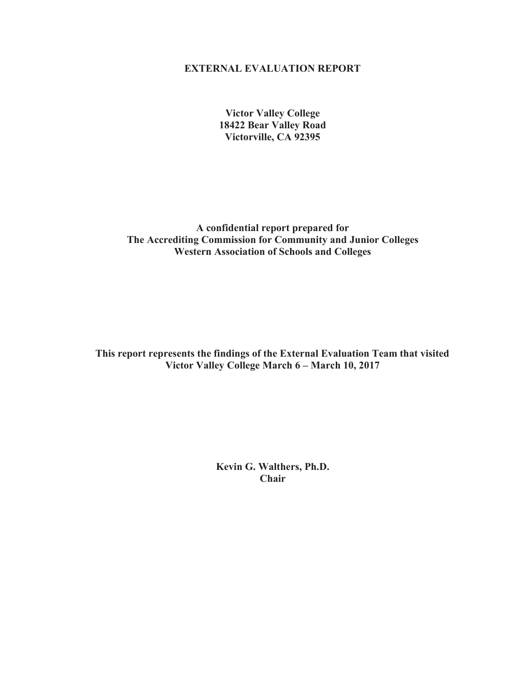#### **EXTERNAL EVALUATION REPORT**

**Victor Valley College 18422 Bear Valley Road Victorville, CA 92395** 

**A confidential report prepared for The Accrediting Commission for Community and Junior Colleges Western Association of Schools and Colleges** 

**This report represents the findings of the External Evaluation Team that visited Victor Valley College March 6 – March 10, 2017** 

> **Kevin G. Walthers, Ph.D. Chair**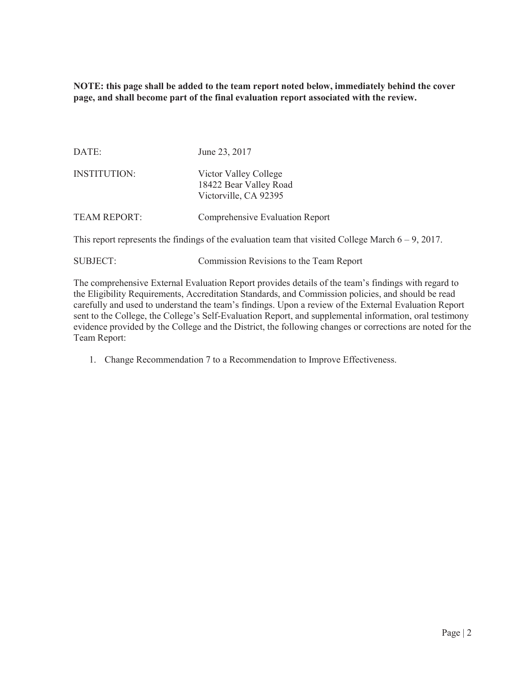**NOTE: this page shall be added to the team report noted below, immediately behind the cover page, and shall become part of the final evaluation report associated with the review.** 

| DATE:               | June 23, 2017                                                            |
|---------------------|--------------------------------------------------------------------------|
| <b>INSTITUTION:</b> | Victor Valley College<br>18422 Bear Valley Road<br>Victorville, CA 92395 |
| <b>TEAM REPORT:</b> | Comprehensive Evaluation Report                                          |

This report represents the findings of the evaluation team that visited College March  $6 - 9$ , 2017.

| <b>SUBJECT:</b> | Commission Revisions to the Team Report |
|-----------------|-----------------------------------------|
|-----------------|-----------------------------------------|

The comprehensive External Evaluation Report provides details of the team's findings with regard to the Eligibility Requirements, Accreditation Standards, and Commission policies, and should be read carefully and used to understand the team's findings. Upon a review of the External Evaluation Report sent to the College, the College's Self-Evaluation Report, and supplemental information, oral testimony evidence provided by the College and the District, the following changes or corrections are noted for the Team Report:

1. Change Recommendation 7 to a Recommendation to Improve Effectiveness.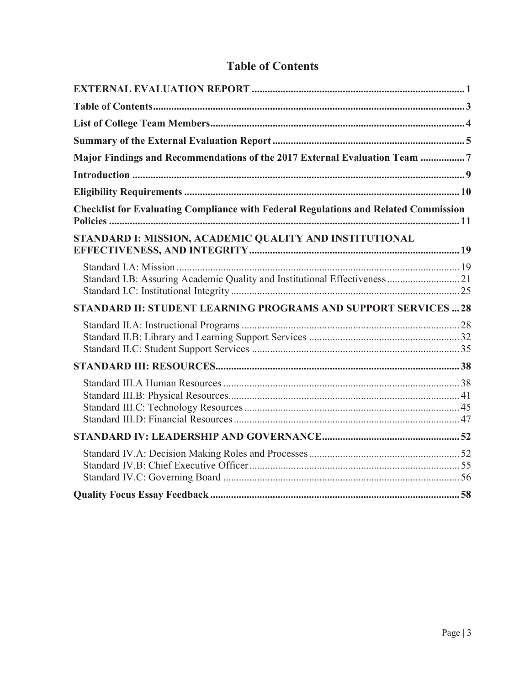| Major Findings and Recommendations of the 2017 External Evaluation Team 7                  |  |
|--------------------------------------------------------------------------------------------|--|
|                                                                                            |  |
|                                                                                            |  |
| <b>Checklist for Evaluating Compliance with Federal Regulations and Related Commission</b> |  |
| STANDARD I: MISSION, ACADEMIC QUALITY AND INSTITUTIONAL                                    |  |
| Standard I.B: Assuring Academic Quality and Institutional Effectiveness  21                |  |
| STANDARD II: STUDENT LEARNING PROGRAMS AND SUPPORT SERVICES  28                            |  |
|                                                                                            |  |
|                                                                                            |  |
|                                                                                            |  |
|                                                                                            |  |
|                                                                                            |  |
|                                                                                            |  |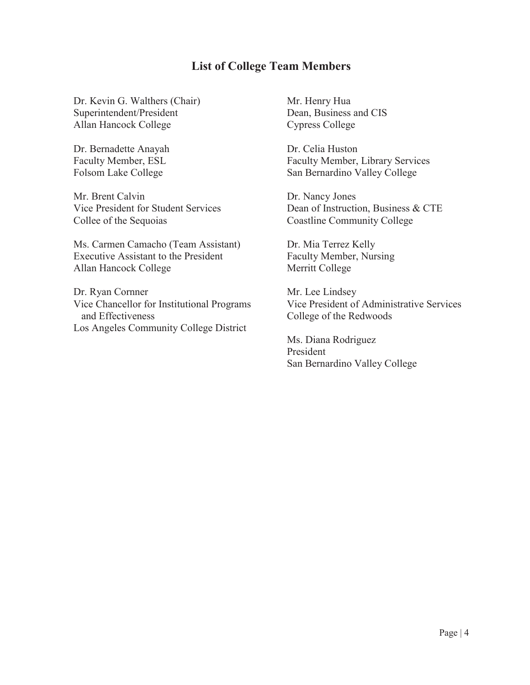## **List of College Team Members**

Dr. Kevin G. Walthers (Chair) Superintendent/President Allan Hancock College

Dr. Bernadette Anayah Faculty Member, ESL Folsom Lake College

Mr. Brent Calvin Vice President for Student Services Collee of the Sequoias

Ms. Carmen Camacho (Team Assistant) Executive Assistant to the President Allan Hancock College

Dr. Ryan Cornner Vice Chancellor for Institutional Programs and Effectiveness Los Angeles Community College District

Mr. Henry Hua Dean, Business and CIS Cypress College

Dr. Celia Huston Faculty Member, Library Services San Bernardino Valley College

Dr. Nancy Jones Dean of Instruction, Business & CTE Coastline Community College

Dr. Mia Terrez Kelly Faculty Member, Nursing Merritt College

Mr. Lee Lindsey Vice President of Administrative Services College of the Redwoods

Ms. Diana Rodriguez President San Bernardino Valley College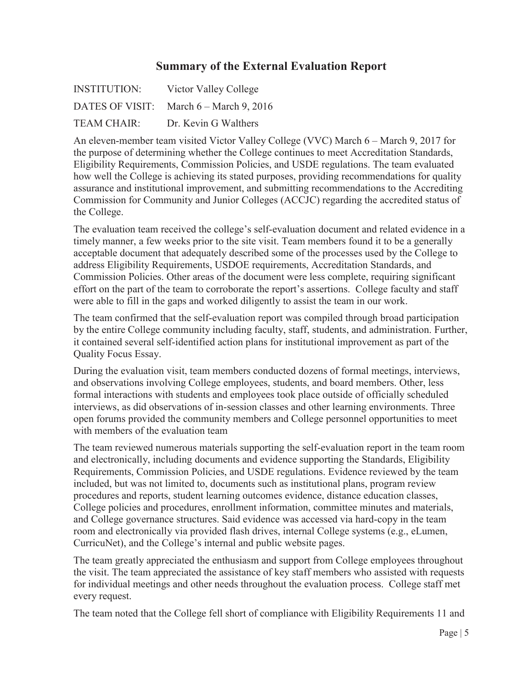## **Summary of the External Evaluation Report**

| <b>INSTITUTION:</b> | Victor Valley College                   |
|---------------------|-----------------------------------------|
|                     | DATES OF VISIT: March 6 – March 9, 2016 |
| TEAM CHAIR:         | Dr. Kevin G Walthers                    |

An eleven-member team visited Victor Valley College (VVC) March 6 – March 9, 2017 for the purpose of determining whether the College continues to meet Accreditation Standards, Eligibility Requirements, Commission Policies, and USDE regulations. The team evaluated how well the College is achieving its stated purposes, providing recommendations for quality assurance and institutional improvement, and submitting recommendations to the Accrediting Commission for Community and Junior Colleges (ACCJC) regarding the accredited status of the College.

The evaluation team received the college's self-evaluation document and related evidence in a timely manner, a few weeks prior to the site visit. Team members found it to be a generally acceptable document that adequately described some of the processes used by the College to address Eligibility Requirements, USDOE requirements, Accreditation Standards, and Commission Policies. Other areas of the document were less complete, requiring significant effort on the part of the team to corroborate the report's assertions. College faculty and staff were able to fill in the gaps and worked diligently to assist the team in our work.

The team confirmed that the self-evaluation report was compiled through broad participation by the entire College community including faculty, staff, students, and administration. Further, it contained several self-identified action plans for institutional improvement as part of the Quality Focus Essay.

During the evaluation visit, team members conducted dozens of formal meetings, interviews, and observations involving College employees, students, and board members. Other, less formal interactions with students and employees took place outside of officially scheduled interviews, as did observations of in-session classes and other learning environments. Three open forums provided the community members and College personnel opportunities to meet with members of the evaluation team

The team reviewed numerous materials supporting the self-evaluation report in the team room and electronically, including documents and evidence supporting the Standards, Eligibility Requirements, Commission Policies, and USDE regulations. Evidence reviewed by the team included, but was not limited to, documents such as institutional plans, program review procedures and reports, student learning outcomes evidence, distance education classes, College policies and procedures, enrollment information, committee minutes and materials, and College governance structures. Said evidence was accessed via hard-copy in the team room and electronically via provided flash drives, internal College systems (e.g., eLumen, CurricuNet), and the College's internal and public website pages.

The team greatly appreciated the enthusiasm and support from College employees throughout the visit. The team appreciated the assistance of key staff members who assisted with requests for individual meetings and other needs throughout the evaluation process. College staff met every request.

The team noted that the College fell short of compliance with Eligibility Requirements 11 and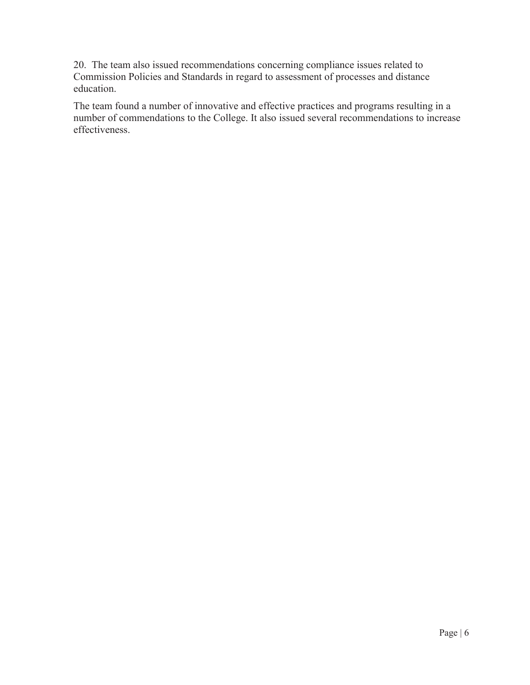20. The team also issued recommendations concerning compliance issues related to Commission Policies and Standards in regard to assessment of processes and distance education.

The team found a number of innovative and effective practices and programs resulting in a number of commendations to the College. It also issued several recommendations to increase effectiveness.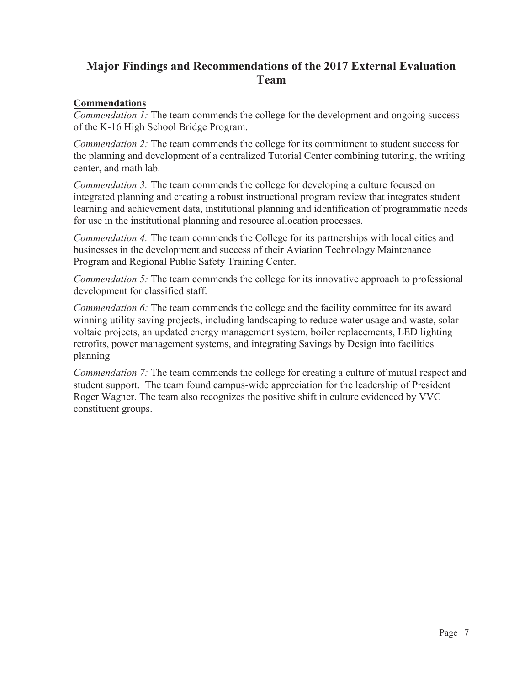# **Major Findings and Recommendations of the 2017 External Evaluation Team**

### **Commendations**

*Commendation 1:* The team commends the college for the development and ongoing success of the K-16 High School Bridge Program.

*Commendation 2:* The team commends the college for its commitment to student success for the planning and development of a centralized Tutorial Center combining tutoring, the writing center, and math lab.

*Commendation 3:* The team commends the college for developing a culture focused on integrated planning and creating a robust instructional program review that integrates student learning and achievement data, institutional planning and identification of programmatic needs for use in the institutional planning and resource allocation processes.

*Commendation 4:* The team commends the College for its partnerships with local cities and businesses in the development and success of their Aviation Technology Maintenance Program and Regional Public Safety Training Center.

*Commendation 5:* The team commends the college for its innovative approach to professional development for classified staff.

*Commendation 6:* The team commends the college and the facility committee for its award winning utility saving projects, including landscaping to reduce water usage and waste, solar voltaic projects, an updated energy management system, boiler replacements, LED lighting retrofits, power management systems, and integrating Savings by Design into facilities planning

*Commendation 7:* The team commends the college for creating a culture of mutual respect and student support. The team found campus-wide appreciation for the leadership of President Roger Wagner. The team also recognizes the positive shift in culture evidenced by VVC constituent groups.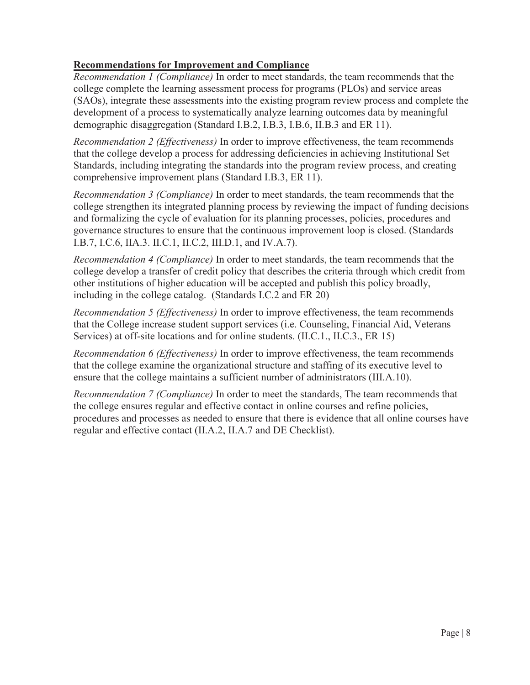### **Recommendations for Improvement and Compliance**

*Recommendation 1 (Compliance)* In order to meet standards, the team recommends that the college complete the learning assessment process for programs (PLOs) and service areas (SAOs), integrate these assessments into the existing program review process and complete the development of a process to systematically analyze learning outcomes data by meaningful demographic disaggregation (Standard I.B.2, I.B.3, I.B.6, II.B.3 and ER 11).

*Recommendation 2 (Effectiveness)* In order to improve effectiveness, the team recommends that the college develop a process for addressing deficiencies in achieving Institutional Set Standards, including integrating the standards into the program review process, and creating comprehensive improvement plans (Standard I.B.3, ER 11).

*Recommendation 3 (Compliance)* In order to meet standards, the team recommends that the college strengthen its integrated planning process by reviewing the impact of funding decisions and formalizing the cycle of evaluation for its planning processes, policies, procedures and governance structures to ensure that the continuous improvement loop is closed. (Standards I.B.7, I.C.6, IIA.3. II.C.1, II.C.2, III.D.1, and IV.A.7).

*Recommendation 4 (Compliance)* In order to meet standards, the team recommends that the college develop a transfer of credit policy that describes the criteria through which credit from other institutions of higher education will be accepted and publish this policy broadly, including in the college catalog. (Standards I.C.2 and ER 20)

*Recommendation 5 (Effectiveness)* In order to improve effectiveness, the team recommends that the College increase student support services (i.e. Counseling, Financial Aid, Veterans Services) at off-site locations and for online students. (II.C.1., II.C.3., ER 15)

*Recommendation 6 (Effectiveness)* In order to improve effectiveness, the team recommends that the college examine the organizational structure and staffing of its executive level to ensure that the college maintains a sufficient number of administrators (III.A.10).

*Recommendation 7 (Compliance)* In order to meet the standards, The team recommends that the college ensures regular and effective contact in online courses and refine policies, procedures and processes as needed to ensure that there is evidence that all online courses have regular and effective contact (II.A.2, II.A.7 and DE Checklist).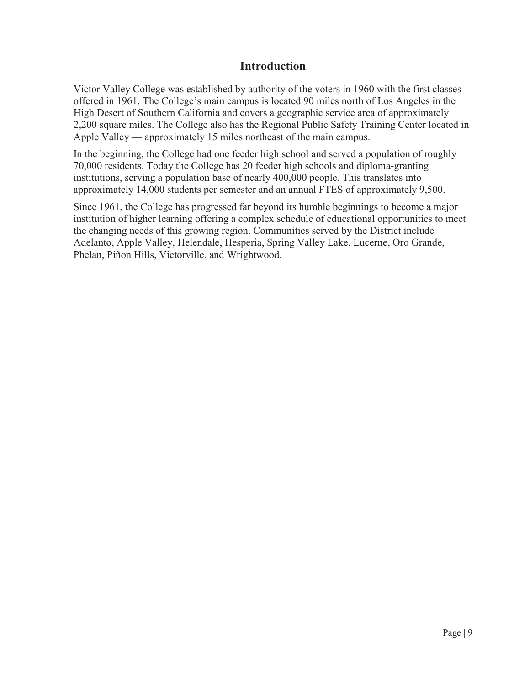## **Introduction**

Victor Valley College was established by authority of the voters in 1960 with the first classes offered in 1961. The College's main campus is located 90 miles north of Los Angeles in the High Desert of Southern California and covers a geographic service area of approximately 2,200 square miles. The College also has the Regional Public Safety Training Center located in Apple Valley — approximately 15 miles northeast of the main campus.

In the beginning, the College had one feeder high school and served a population of roughly 70,000 residents. Today the College has 20 feeder high schools and diploma-granting institutions, serving a population base of nearly 400,000 people. This translates into approximately 14,000 students per semester and an annual FTES of approximately 9,500.

Since 1961, the College has progressed far beyond its humble beginnings to become a major institution of higher learning offering a complex schedule of educational opportunities to meet the changing needs of this growing region. Communities served by the District include Adelanto, Apple Valley, Helendale, Hesperia, Spring Valley Lake, Lucerne, Oro Grande, Phelan, Piñon Hills, Victorville, and Wrightwood.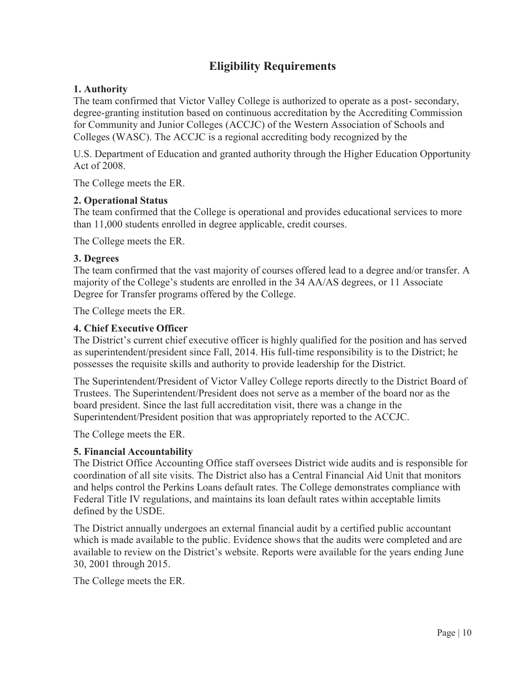# **Eligibility Requirements**

#### **1. Authority**

The team confirmed that Victor Valley College is authorized to operate as a post- secondary, degree-granting institution based on continuous accreditation by the Accrediting Commission for Community and Junior Colleges (ACCJC) of the Western Association of Schools and Colleges (WASC). The ACCJC is a regional accrediting body recognized by the

U.S. Department of Education and granted authority through the Higher Education Opportunity Act of 2008.

The College meets the ER.

#### **2. Operational Status**

The team confirmed that the College is operational and provides educational services to more than 11,000 students enrolled in degree applicable, credit courses.

The College meets the ER.

#### **3. Degrees**

The team confirmed that the vast majority of courses offered lead to a degree and/or transfer. A majority of the College's students are enrolled in the 34 AA/AS degrees, or 11 Associate Degree for Transfer programs offered by the College.

The College meets the ER.

#### **4. Chief Executive Officer**

The District's current chief executive officer is highly qualified for the position and has served as superintendent/president since Fall, 2014. His full-time responsibility is to the District; he possesses the requisite skills and authority to provide leadership for the District.

The Superintendent/President of Victor Valley College reports directly to the District Board of Trustees. The Superintendent/President does not serve as a member of the board nor as the board president. Since the last full accreditation visit, there was a change in the Superintendent/President position that was appropriately reported to the ACCJC.

The College meets the ER.

#### **5. Financial Accountability**

The District Office Accounting Office staff oversees District wide audits and is responsible for coordination of all site visits. The District also has a Central Financial Aid Unit that monitors and helps control the Perkins Loans default rates. The College demonstrates compliance with Federal Title IV regulations, and maintains its loan default rates within acceptable limits defined by the USDE.

The District annually undergoes an external financial audit by a certified public accountant which is made available to the public. Evidence shows that the audits were completed and are available to review on the District's website. Reports were available for the years ending June 30, 2001 through 2015.

The College meets the ER.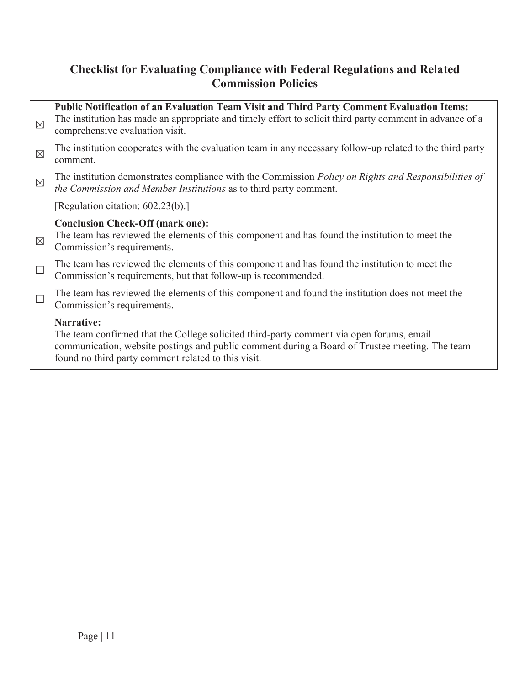# **Checklist for Evaluating Compliance with Federal Regulations and Related Commission Policies**

| $\times$    | Public Notification of an Evaluation Team Visit and Third Party Comment Evaluation Items:<br>The institution has made an appropriate and timely effort to solicit third party comment in advance of a<br>comprehensive evaluation visit.                        |
|-------------|-----------------------------------------------------------------------------------------------------------------------------------------------------------------------------------------------------------------------------------------------------------------|
| $\boxtimes$ | The institution cooperates with the evaluation team in any necessary follow-up related to the third party<br>comment.                                                                                                                                           |
| $\times$    | The institution demonstrates compliance with the Commission Policy on Rights and Responsibilities of<br>the Commission and Member Institutions as to third party comment.                                                                                       |
|             | [Regulation citation: 602.23(b).]                                                                                                                                                                                                                               |
| $\times$    | <b>Conclusion Check-Off (mark one):</b><br>The team has reviewed the elements of this component and has found the institution to meet the<br>Commission's requirements.                                                                                         |
|             | The team has reviewed the elements of this component and has found the institution to meet the<br>Commission's requirements, but that follow-up is recommended.                                                                                                 |
|             | The team has reviewed the elements of this component and found the institution does not meet the<br>Commission's requirements.                                                                                                                                  |
|             | Narrative:<br>The team confirmed that the College solicited third-party comment via open forums, email<br>communication, website postings and public comment during a Board of Trustee meeting. The team<br>found no third party comment related to this visit. |
|             |                                                                                                                                                                                                                                                                 |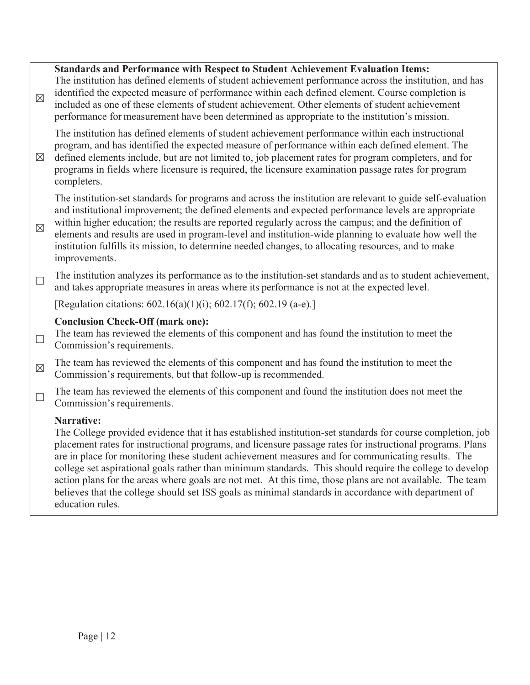## **Standards and Performance with Respect to Student Achievement Evaluation Items:**   $\boxtimes$ The institution has defined elements of student achievement performance across the institution, and has identified the expected measure of performance within each defined element. Course completion is included as one of these elements of student achievement. Other elements of student achievement performance for measurement have been determined as appropriate to the institution's mission.  $\boxtimes$ The institution has defined elements of student achievement performance within each instructional program, and has identified the expected measure of performance within each defined element. The defined elements include, but are not limited to, job placement rates for program completers, and for programs in fields where licensure is required, the licensure examination passage rates for program completers.  $\boxtimes$ The institution-set standards for programs and across the institution are relevant to guide self-evaluation and institutional improvement; the defined elements and expected performance levels are appropriate within higher education; the results are reported regularly across the campus; and the definition of elements and results are used in program-level and institution-wide planning to evaluate how well the institution fulfills its mission, to determine needed changes, to allocating resources, and to make improvements.  $\Box$  The institution analyzes its performance as to the institution-set standards and as to student achievement, and takes appropriate measures in areas where its performance is not at the expected level. [Regulation citations: 602.16(a)(1)(i); 602.17(f); 602.19 (a-e).] **Conclusion Check-Off (mark one):**   $\Box$  The team has reviewed the elements of this component and has found the institution to meet the Commission's requirements.  $\boxtimes$  The team has reviewed the elements of this component and has found the institution to meet the Commission's requirements, but that follow-up is recommended.  $\Box$  The team has reviewed the elements of this component and found the institution does not meet the Commission's requirements. **Narrative:**  The College provided evidence that it has established institution-set standards for course completion, job placement rates for instructional programs, and licensure passage rates for instructional programs. Plans are in place for monitoring these student achievement measures and for communicating results. The college set aspirational goals rather than minimum standards. This should require the college to develop action plans for the areas where goals are not met. At this time, those plans are not available. The team believes that the college should set ISS goals as minimal standards in accordance with department of education rules.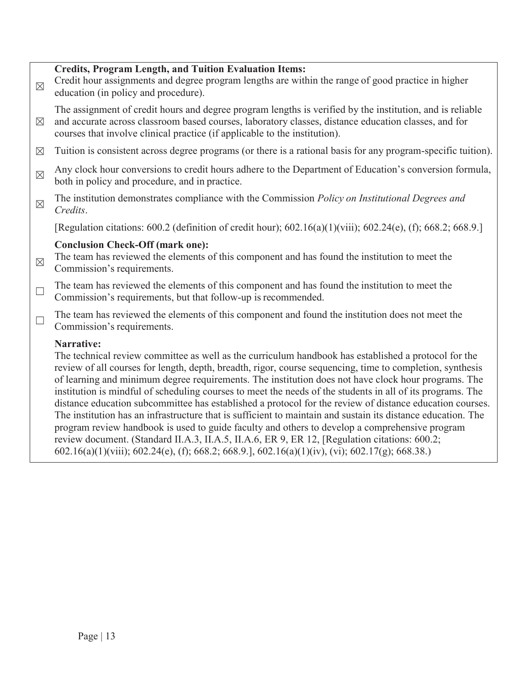#### **Credits, Program Length, and Tuition Evaluation Items:**

 $\boxtimes$  Credit hour assignments and degree program lengths are within the range of good practice in higher education (in policy and procedure).

 $\boxtimes$ The assignment of credit hours and degree program lengths is verified by the institution, and is reliable and accurate across classroom based courses, laboratory classes, distance education classes, and for courses that involve clinical practice (if applicable to the institution).

- $\boxtimes$  Tuition is consistent across degree programs (or there is a rational basis for any program-specific tuition).
- Any clock hour conversions to credit hours adhere to the Department of Education's conversion formula, both in policy and procedure, and in practice.
- ܈ The institution demonstrates compliance with the Commission *Policy on Institutional Degrees and Credits*.

[Regulation citations: 600.2 (definition of credit hour); 602.16(a)(1)(viii); 602.24(e), (f); 668.2; 668.9.]

#### **Conclusion Check-Off (mark one):**

- $\boxtimes$  The team has reviewed the elements of this component and has found the institution to meet the Commission's requirements.
- $\Box$  The team has reviewed the elements of this component and has found the institution to meet the Commission's requirements, but that follow-up is recommended.
- $\Box$  The team has reviewed the elements of this component and found the institution does not meet the Commission's requirements.

#### **Narrative:**

The technical review committee as well as the curriculum handbook has established a protocol for the review of all courses for length, depth, breadth, rigor, course sequencing, time to completion, synthesis of learning and minimum degree requirements. The institution does not have clock hour programs. The institution is mindful of scheduling courses to meet the needs of the students in all of its programs. The distance education subcommittee has established a protocol for the review of distance education courses. The institution has an infrastructure that is sufficient to maintain and sustain its distance education. The program review handbook is used to guide faculty and others to develop a comprehensive program review document. (Standard II.A.3, II.A.5, II.A.6, ER 9, ER 12, [Regulation citations: 600.2; 602.16(a)(1)(viii); 602.24(e), (f); 668.2; 668.9.], 602.16(a)(1)(iv), (vi); 602.17(g); 668.38.)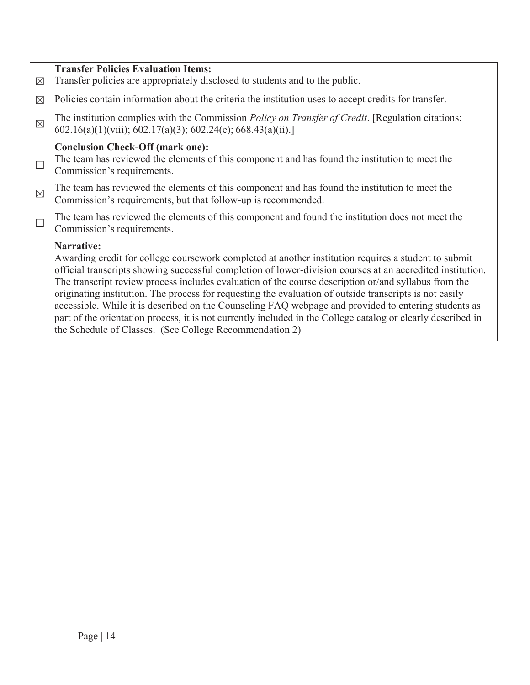#### **Transfer Policies Evaluation Items:**

- $\boxtimes$  Transfer policies are appropriately disclosed to students and to the public.
- $\boxtimes$  Policies contain information about the criteria the institution uses to accept credits for transfer.
- The institution complies with the Commission *Policy on Transfer of Credit*. [Regulation citations: 602.16(a)(1)(viii); 602.17(a)(3); 602.24(e); 668.43(a)(ii).]

#### **Conclusion Check-Off (mark one):**

- $\Box$  The team has reviewed the elements of this component and has found the institution to meet the Commission's requirements.
- $\boxtimes$  The team has reviewed the elements of this component and has found the institution to meet the Commission's requirements, but that follow-up is recommended.
- $\Box$  The team has reviewed the elements of this component and found the institution does not meet the Commission's requirements.

#### **Narrative:**

Awarding credit for college coursework completed at another institution requires a student to submit official transcripts showing successful completion of lower-division courses at an accredited institution. The transcript review process includes evaluation of the course description or/and syllabus from the originating institution. The process for requesting the evaluation of outside transcripts is not easily accessible. While it is described on the Counseling FAQ webpage and provided to entering students as part of the orientation process, it is not currently included in the College catalog or clearly described in the Schedule of Classes. (See College Recommendation 2)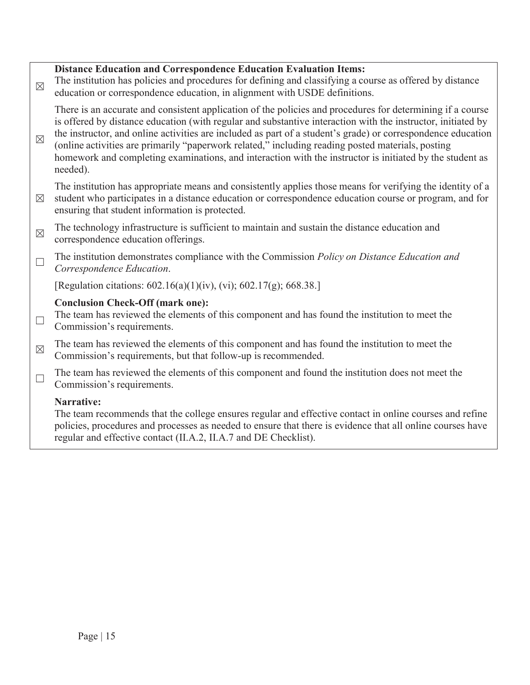## **Distance Education and Correspondence Education Evaluation Items:**   $\boxtimes$  The institution has policies and procedures for defining and classifying a course as offered by distance education or correspondence education, in alignment with USDE definitions.  $\times$ There is an accurate and consistent application of the policies and procedures for determining if a course is offered by distance education (with regular and substantive interaction with the instructor, initiated by the instructor, and online activities are included as part of a student's grade) or correspondence education (online activities are primarily "paperwork related," including reading posted materials, posting homework and completing examinations, and interaction with the instructor is initiated by the student as needed).  $\boxtimes$ The institution has appropriate means and consistently applies those means for verifying the identity of a student who participates in a distance education or correspondence education course or program, and for ensuring that student information is protected.  $\boxtimes$  The technology infrastructure is sufficient to maintain and sustain the distance education and correspondence education offerings. ܆ The institution demonstrates compliance with the Commission *Policy on Distance Education and Correspondence Education*. [Regulation citations: 602.16(a)(1)(iv), (vi); 602.17(g); 668.38.] **Conclusion Check-Off (mark one):**   $\Box$  The team has reviewed the elements of this component and has found the institution to meet the Commission's requirements.  $\boxtimes$  The team has reviewed the elements of this component and has found the institution to meet the Commission's requirements, but that follow-up is recommended.  $\Box$  The team has reviewed the elements of this component and found the institution does not meet the Commission's requirements. **Narrative:**  The team recommends that the college ensures regular and effective contact in online courses and refine policies, procedures and processes as needed to ensure that there is evidence that all online courses have regular and effective contact (II.A.2, II.A.7 and DE Checklist).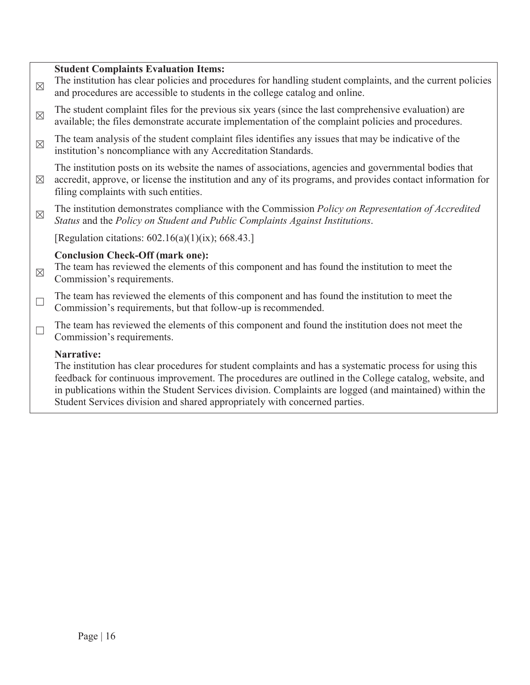#### **Student Complaints Evaluation Items:**

 $\boxtimes$  The institution has clear policies and procedures for handling student complaints, and the current policies and procedures are accessible to students in the college catalog and online.  $\boxtimes$  The student complaint files for the previous six years (since the last comprehensive evaluation) are available; the files demonstrate accurate implementation of the complaint policies and procedures.  $\boxtimes$  The team analysis of the student complaint files identifies any issues that may be indicative of the institution's noncompliance with any Accreditation Standards.  $\boxtimes$ The institution posts on its website the names of associations, agencies and governmental bodies that accredit, approve, or license the institution and any of its programs, and provides contact information for filing complaints with such entities. ܈ The institution demonstrates compliance with the Commission *Policy on Representation of Accredited Status* and the *Policy on Student and Public Complaints Against Institutions*. [Regulation citations:  $602.16(a)(1)(ix)$ ; 668.43.] **Conclusion Check-Off (mark one):**   $\boxtimes$  The team has reviewed the elements of this component and has found the institution to meet the Commission's requirements.  $\Box$  The team has reviewed the elements of this component and has found the institution to meet the Commission's requirements, but that follow-up is recommended.  $\Box$  The team has reviewed the elements of this component and found the institution does not meet the Commission's requirements. **Narrative:**  The institution has clear procedures for student complaints and has a systematic process for using this feedback for continuous improvement. The procedures are outlined in the College catalog, website, and

in publications within the Student Services division. Complaints are logged (and maintained) within the Student Services division and shared appropriately with concerned parties.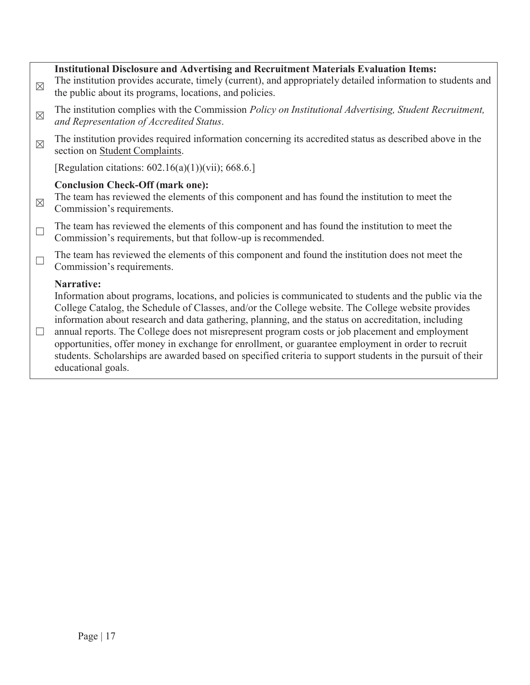| $\boxtimes$ | <b>Institutional Disclosure and Advertising and Recruitment Materials Evaluation Items:</b><br>The institution provides accurate, timely (current), and appropriately detailed information to students and<br>the public about its programs, locations, and policies.                                                                                                                                                                                                                                                                                                                                                                                    |
|-------------|----------------------------------------------------------------------------------------------------------------------------------------------------------------------------------------------------------------------------------------------------------------------------------------------------------------------------------------------------------------------------------------------------------------------------------------------------------------------------------------------------------------------------------------------------------------------------------------------------------------------------------------------------------|
| $\boxtimes$ | The institution complies with the Commission Policy on Institutional Advertising, Student Recruitment,<br>and Representation of Accredited Status.                                                                                                                                                                                                                                                                                                                                                                                                                                                                                                       |
| $\boxtimes$ | The institution provides required information concerning its accredited status as described above in the<br>section on Student Complaints.                                                                                                                                                                                                                                                                                                                                                                                                                                                                                                               |
|             | [Regulation citations: $602.16(a)(1)$ ](vii); 668.6.]                                                                                                                                                                                                                                                                                                                                                                                                                                                                                                                                                                                                    |
| $\boxtimes$ | <b>Conclusion Check-Off (mark one):</b><br>The team has reviewed the elements of this component and has found the institution to meet the<br>Commission's requirements.                                                                                                                                                                                                                                                                                                                                                                                                                                                                                  |
| $\Box$      | The team has reviewed the elements of this component and has found the institution to meet the<br>Commission's requirements, but that follow-up is recommended.                                                                                                                                                                                                                                                                                                                                                                                                                                                                                          |
| $\Box$      | The team has reviewed the elements of this component and found the institution does not meet the<br>Commission's requirements.                                                                                                                                                                                                                                                                                                                                                                                                                                                                                                                           |
| $\Box$      | Narrative:<br>Information about programs, locations, and policies is communicated to students and the public via the<br>College Catalog, the Schedule of Classes, and/or the College website. The College website provides<br>information about research and data gathering, planning, and the status on accreditation, including<br>annual reports. The College does not misrepresent program costs or job placement and employment<br>opportunities, offer money in exchange for enrollment, or guarantee employment in order to recruit<br>students. Scholarships are awarded based on specified criteria to support students in the pursuit of their |

educational goals.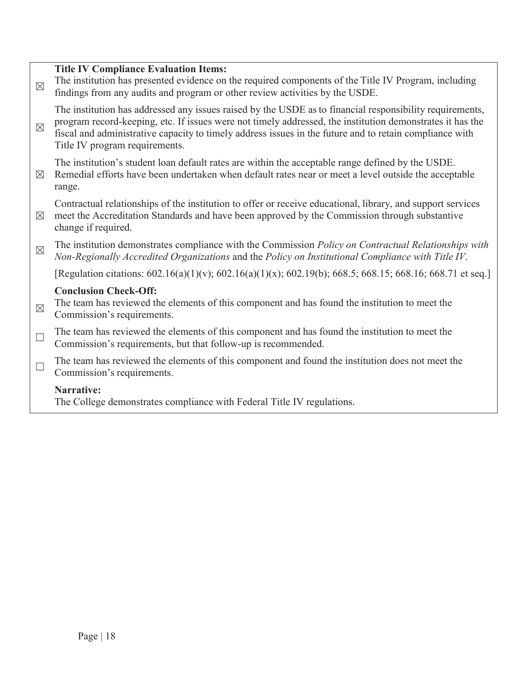| $\times$    | <b>Title IV Compliance Evaluation Items:</b><br>The institution has presented evidence on the required components of the Title IV Program, including<br>findings from any audits and program or other review activities by the USDE.                                                                                                                               |
|-------------|--------------------------------------------------------------------------------------------------------------------------------------------------------------------------------------------------------------------------------------------------------------------------------------------------------------------------------------------------------------------|
| $\times$    | The institution has addressed any issues raised by the USDE as to financial responsibility requirements,<br>program record-keeping, etc. If issues were not timely addressed, the institution demonstrates it has the<br>fiscal and administrative capacity to timely address issues in the future and to retain compliance with<br>Title IV program requirements. |
| $\boxtimes$ | The institution's student loan default rates are within the acceptable range defined by the USDE.<br>Remedial efforts have been undertaken when default rates near or meet a level outside the acceptable<br>range.                                                                                                                                                |
| $\times$    | Contractual relationships of the institution to offer or receive educational, library, and support services<br>meet the Accreditation Standards and have been approved by the Commission through substantive<br>change if required.                                                                                                                                |
| $\times$    | The institution demonstrates compliance with the Commission Policy on Contractual Relationships with<br>Non-Regionally Accredited Organizations and the Policy on Institutional Compliance with Title IV.                                                                                                                                                          |
|             | [Regulation citations: 602.16(a)(1)(v); 602.16(a)(1)(x); 602.19(b); 668.5; 668.15; 668.16; 668.71 et seq.]                                                                                                                                                                                                                                                         |
|             | <b>Conclusion Check-Off:</b>                                                                                                                                                                                                                                                                                                                                       |
| $\times$    | The team has reviewed the elements of this component and has found the institution to meet the<br>Commission's requirements.                                                                                                                                                                                                                                       |
| $\Box$      | The team has reviewed the elements of this component and has found the institution to meet the<br>Commission's requirements, but that follow-up is recommended.                                                                                                                                                                                                    |
| $\Box$      | The team has reviewed the elements of this component and found the institution does not meet the<br>Commission's requirements.                                                                                                                                                                                                                                     |
|             | <b>Narrative:</b><br>The College demonstrates compliance with Federal Title IV regulations.                                                                                                                                                                                                                                                                        |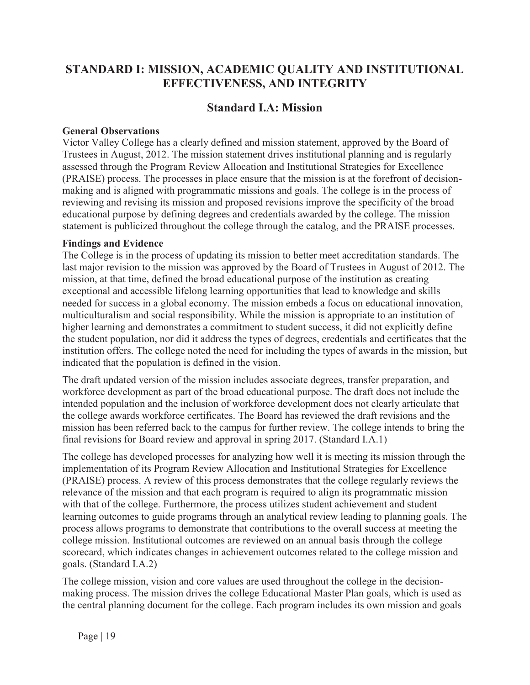# **STANDARD I: MISSION, ACADEMIC QUALITY AND INSTITUTIONAL EFFECTIVENESS, AND INTEGRITY**

## **Standard I.A: Mission**

#### **General Observations**

Victor Valley College has a clearly defined and mission statement, approved by the Board of Trustees in August, 2012. The mission statement drives institutional planning and is regularly assessed through the Program Review Allocation and Institutional Strategies for Excellence (PRAISE) process. The processes in place ensure that the mission is at the forefront of decisionmaking and is aligned with programmatic missions and goals. The college is in the process of reviewing and revising its mission and proposed revisions improve the specificity of the broad educational purpose by defining degrees and credentials awarded by the college. The mission statement is publicized throughout the college through the catalog, and the PRAISE processes.

#### **Findings and Evidence**

The College is in the process of updating its mission to better meet accreditation standards. The last major revision to the mission was approved by the Board of Trustees in August of 2012. The mission, at that time, defined the broad educational purpose of the institution as creating exceptional and accessible lifelong learning opportunities that lead to knowledge and skills needed for success in a global economy. The mission embeds a focus on educational innovation, multiculturalism and social responsibility. While the mission is appropriate to an institution of higher learning and demonstrates a commitment to student success, it did not explicitly define the student population, nor did it address the types of degrees, credentials and certificates that the institution offers. The college noted the need for including the types of awards in the mission, but indicated that the population is defined in the vision.

The draft updated version of the mission includes associate degrees, transfer preparation, and workforce development as part of the broad educational purpose. The draft does not include the intended population and the inclusion of workforce development does not clearly articulate that the college awards workforce certificates. The Board has reviewed the draft revisions and the mission has been referred back to the campus for further review. The college intends to bring the final revisions for Board review and approval in spring 2017. (Standard I.A.1)

The college has developed processes for analyzing how well it is meeting its mission through the implementation of its Program Review Allocation and Institutional Strategies for Excellence (PRAISE) process. A review of this process demonstrates that the college regularly reviews the relevance of the mission and that each program is required to align its programmatic mission with that of the college. Furthermore, the process utilizes student achievement and student learning outcomes to guide programs through an analytical review leading to planning goals. The process allows programs to demonstrate that contributions to the overall success at meeting the college mission. Institutional outcomes are reviewed on an annual basis through the college scorecard, which indicates changes in achievement outcomes related to the college mission and goals. (Standard I.A.2)

The college mission, vision and core values are used throughout the college in the decisionmaking process. The mission drives the college Educational Master Plan goals, which is used as the central planning document for the college. Each program includes its own mission and goals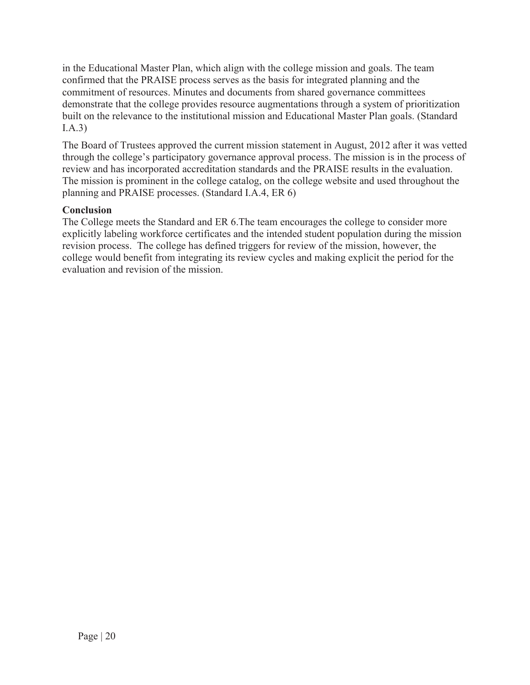in the Educational Master Plan, which align with the college mission and goals. The team confirmed that the PRAISE process serves as the basis for integrated planning and the commitment of resources. Minutes and documents from shared governance committees demonstrate that the college provides resource augmentations through a system of prioritization built on the relevance to the institutional mission and Educational Master Plan goals. (Standard I.A.3)

The Board of Trustees approved the current mission statement in August, 2012 after it was vetted through the college's participatory governance approval process. The mission is in the process of review and has incorporated accreditation standards and the PRAISE results in the evaluation. The mission is prominent in the college catalog, on the college website and used throughout the planning and PRAISE processes. (Standard I.A.4, ER 6)

## **Conclusion**

The College meets the Standard and ER 6.The team encourages the college to consider more explicitly labeling workforce certificates and the intended student population during the mission revision process. The college has defined triggers for review of the mission, however, the college would benefit from integrating its review cycles and making explicit the period for the evaluation and revision of the mission.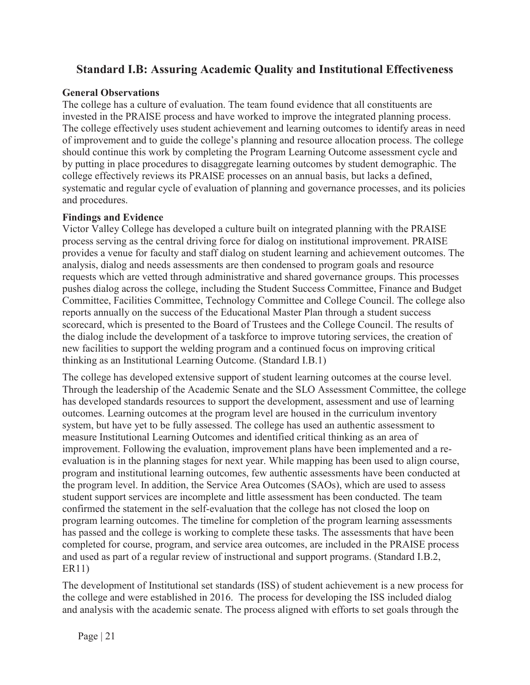# **Standard I.B: Assuring Academic Quality and Institutional Effectiveness**

### **General Observations**

The college has a culture of evaluation. The team found evidence that all constituents are invested in the PRAISE process and have worked to improve the integrated planning process. The college effectively uses student achievement and learning outcomes to identify areas in need of improvement and to guide the college's planning and resource allocation process. The college should continue this work by completing the Program Learning Outcome assessment cycle and by putting in place procedures to disaggregate learning outcomes by student demographic. The college effectively reviews its PRAISE processes on an annual basis, but lacks a defined, systematic and regular cycle of evaluation of planning and governance processes, and its policies and procedures.

### **Findings and Evidence**

Victor Valley College has developed a culture built on integrated planning with the PRAISE process serving as the central driving force for dialog on institutional improvement. PRAISE provides a venue for faculty and staff dialog on student learning and achievement outcomes. The analysis, dialog and needs assessments are then condensed to program goals and resource requests which are vetted through administrative and shared governance groups. This processes pushes dialog across the college, including the Student Success Committee, Finance and Budget Committee, Facilities Committee, Technology Committee and College Council. The college also reports annually on the success of the Educational Master Plan through a student success scorecard, which is presented to the Board of Trustees and the College Council. The results of the dialog include the development of a taskforce to improve tutoring services, the creation of new facilities to support the welding program and a continued focus on improving critical thinking as an Institutional Learning Outcome. (Standard I.B.1)

The college has developed extensive support of student learning outcomes at the course level. Through the leadership of the Academic Senate and the SLO Assessment Committee, the college has developed standards resources to support the development, assessment and use of learning outcomes. Learning outcomes at the program level are housed in the curriculum inventory system, but have yet to be fully assessed. The college has used an authentic assessment to measure Institutional Learning Outcomes and identified critical thinking as an area of improvement. Following the evaluation, improvement plans have been implemented and a reevaluation is in the planning stages for next year. While mapping has been used to align course, program and institutional learning outcomes, few authentic assessments have been conducted at the program level. In addition, the Service Area Outcomes (SAOs), which are used to assess student support services are incomplete and little assessment has been conducted. The team confirmed the statement in the self-evaluation that the college has not closed the loop on program learning outcomes. The timeline for completion of the program learning assessments has passed and the college is working to complete these tasks. The assessments that have been completed for course, program, and service area outcomes, are included in the PRAISE process and used as part of a regular review of instructional and support programs. (Standard I.B.2, ER11)

The development of Institutional set standards (ISS) of student achievement is a new process for the college and were established in 2016. The process for developing the ISS included dialog and analysis with the academic senate. The process aligned with efforts to set goals through the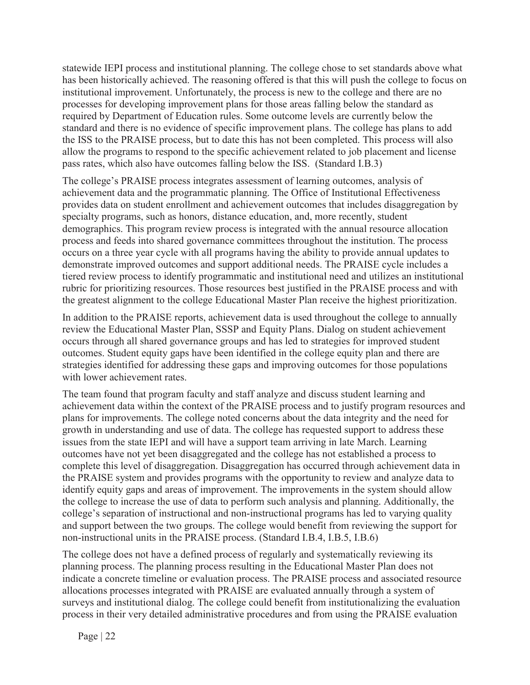statewide IEPI process and institutional planning. The college chose to set standards above what has been historically achieved. The reasoning offered is that this will push the college to focus on institutional improvement. Unfortunately, the process is new to the college and there are no processes for developing improvement plans for those areas falling below the standard as required by Department of Education rules. Some outcome levels are currently below the standard and there is no evidence of specific improvement plans. The college has plans to add the ISS to the PRAISE process, but to date this has not been completed. This process will also allow the programs to respond to the specific achievement related to job placement and license pass rates, which also have outcomes falling below the ISS. (Standard I.B.3)

The college's PRAISE process integrates assessment of learning outcomes, analysis of achievement data and the programmatic planning. The Office of Institutional Effectiveness provides data on student enrollment and achievement outcomes that includes disaggregation by specialty programs, such as honors, distance education, and, more recently, student demographics. This program review process is integrated with the annual resource allocation process and feeds into shared governance committees throughout the institution. The process occurs on a three year cycle with all programs having the ability to provide annual updates to demonstrate improved outcomes and support additional needs. The PRAISE cycle includes a tiered review process to identify programmatic and institutional need and utilizes an institutional rubric for prioritizing resources. Those resources best justified in the PRAISE process and with the greatest alignment to the college Educational Master Plan receive the highest prioritization.

In addition to the PRAISE reports, achievement data is used throughout the college to annually review the Educational Master Plan, SSSP and Equity Plans. Dialog on student achievement occurs through all shared governance groups and has led to strategies for improved student outcomes. Student equity gaps have been identified in the college equity plan and there are strategies identified for addressing these gaps and improving outcomes for those populations with lower achievement rates.

The team found that program faculty and staff analyze and discuss student learning and achievement data within the context of the PRAISE process and to justify program resources and plans for improvements. The college noted concerns about the data integrity and the need for growth in understanding and use of data. The college has requested support to address these issues from the state IEPI and will have a support team arriving in late March. Learning outcomes have not yet been disaggregated and the college has not established a process to complete this level of disaggregation. Disaggregation has occurred through achievement data in the PRAISE system and provides programs with the opportunity to review and analyze data to identify equity gaps and areas of improvement. The improvements in the system should allow the college to increase the use of data to perform such analysis and planning. Additionally, the college's separation of instructional and non-instructional programs has led to varying quality and support between the two groups. The college would benefit from reviewing the support for non-instructional units in the PRAISE process. (Standard I.B.4, I.B.5, I.B.6)

The college does not have a defined process of regularly and systematically reviewing its planning process. The planning process resulting in the Educational Master Plan does not indicate a concrete timeline or evaluation process. The PRAISE process and associated resource allocations processes integrated with PRAISE are evaluated annually through a system of surveys and institutional dialog. The college could benefit from institutionalizing the evaluation process in their very detailed administrative procedures and from using the PRAISE evaluation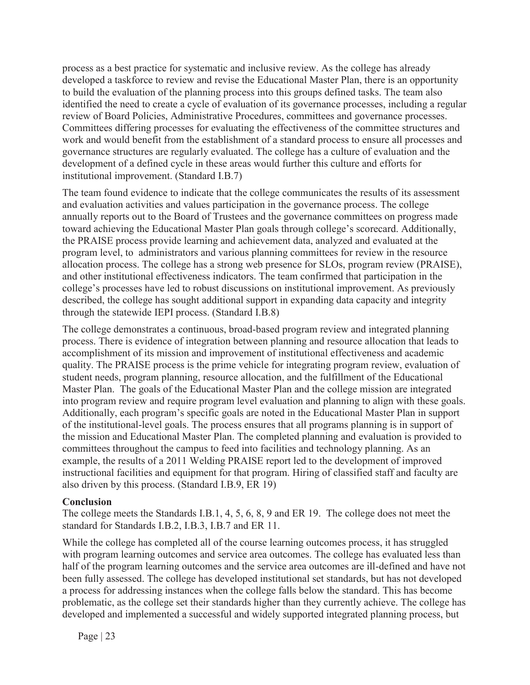process as a best practice for systematic and inclusive review. As the college has already developed a taskforce to review and revise the Educational Master Plan, there is an opportunity to build the evaluation of the planning process into this groups defined tasks. The team also identified the need to create a cycle of evaluation of its governance processes, including a regular review of Board Policies, Administrative Procedures, committees and governance processes. Committees differing processes for evaluating the effectiveness of the committee structures and work and would benefit from the establishment of a standard process to ensure all processes and governance structures are regularly evaluated. The college has a culture of evaluation and the development of a defined cycle in these areas would further this culture and efforts for institutional improvement. (Standard I.B.7)

The team found evidence to indicate that the college communicates the results of its assessment and evaluation activities and values participation in the governance process. The college annually reports out to the Board of Trustees and the governance committees on progress made toward achieving the Educational Master Plan goals through college's scorecard. Additionally, the PRAISE process provide learning and achievement data, analyzed and evaluated at the program level, to administrators and various planning committees for review in the resource allocation process. The college has a strong web presence for SLOs, program review (PRAISE), and other institutional effectiveness indicators. The team confirmed that participation in the college's processes have led to robust discussions on institutional improvement. As previously described, the college has sought additional support in expanding data capacity and integrity through the statewide IEPI process. (Standard I.B.8)

The college demonstrates a continuous, broad-based program review and integrated planning process. There is evidence of integration between planning and resource allocation that leads to accomplishment of its mission and improvement of institutional effectiveness and academic quality. The PRAISE process is the prime vehicle for integrating program review, evaluation of student needs, program planning, resource allocation, and the fulfillment of the Educational Master Plan. The goals of the Educational Master Plan and the college mission are integrated into program review and require program level evaluation and planning to align with these goals. Additionally, each program's specific goals are noted in the Educational Master Plan in support of the institutional-level goals. The process ensures that all programs planning is in support of the mission and Educational Master Plan. The completed planning and evaluation is provided to committees throughout the campus to feed into facilities and technology planning. As an example, the results of a 2011 Welding PRAISE report led to the development of improved instructional facilities and equipment for that program. Hiring of classified staff and faculty are also driven by this process. (Standard I.B.9, ER 19)

### **Conclusion**

The college meets the Standards I.B.1, 4, 5, 6, 8, 9 and ER 19. The college does not meet the standard for Standards I.B.2, I.B.3, I.B.7 and ER 11.

While the college has completed all of the course learning outcomes process, it has struggled with program learning outcomes and service area outcomes. The college has evaluated less than half of the program learning outcomes and the service area outcomes are ill-defined and have not been fully assessed. The college has developed institutional set standards, but has not developed a process for addressing instances when the college falls below the standard. This has become problematic, as the college set their standards higher than they currently achieve. The college has developed and implemented a successful and widely supported integrated planning process, but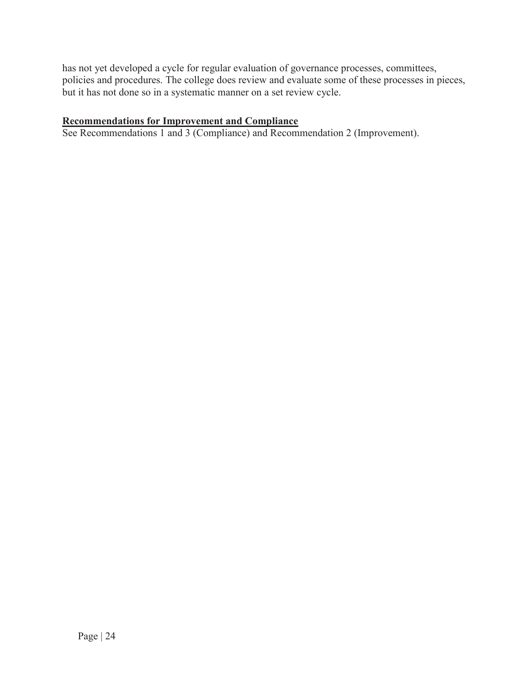has not yet developed a cycle for regular evaluation of governance processes, committees, policies and procedures. The college does review and evaluate some of these processes in pieces, but it has not done so in a systematic manner on a set review cycle.

### **Recommendations for Improvement and Compliance**

See Recommendations 1 and 3 (Compliance) and Recommendation 2 (Improvement).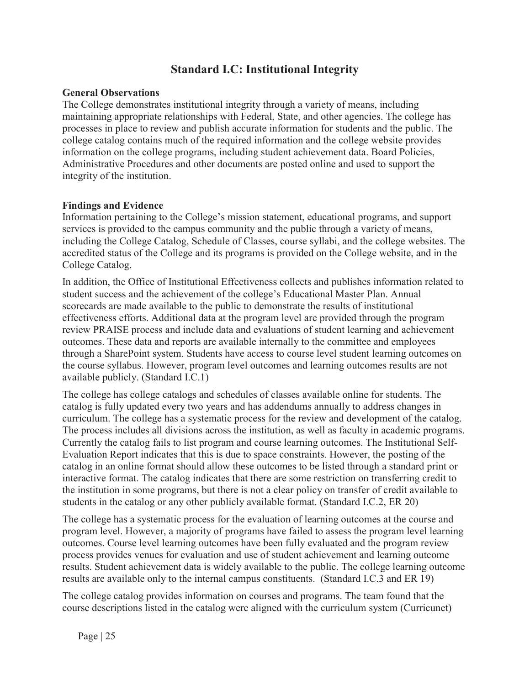# **Standard I.C: Institutional Integrity**

#### **General Observations**

The College demonstrates institutional integrity through a variety of means, including maintaining appropriate relationships with Federal, State, and other agencies. The college has processes in place to review and publish accurate information for students and the public. The college catalog contains much of the required information and the college website provides information on the college programs, including student achievement data. Board Policies, Administrative Procedures and other documents are posted online and used to support the integrity of the institution.

#### **Findings and Evidence**

Information pertaining to the College's mission statement, educational programs, and support services is provided to the campus community and the public through a variety of means, including the College Catalog, Schedule of Classes, course syllabi, and the college websites. The accredited status of the College and its programs is provided on the College website, and in the College Catalog.

In addition, the Office of Institutional Effectiveness collects and publishes information related to student success and the achievement of the college's Educational Master Plan. Annual scorecards are made available to the public to demonstrate the results of institutional effectiveness efforts. Additional data at the program level are provided through the program review PRAISE process and include data and evaluations of student learning and achievement outcomes. These data and reports are available internally to the committee and employees through a SharePoint system. Students have access to course level student learning outcomes on the course syllabus. However, program level outcomes and learning outcomes results are not available publicly. (Standard I.C.1)

The college has college catalogs and schedules of classes available online for students. The catalog is fully updated every two years and has addendums annually to address changes in curriculum. The college has a systematic process for the review and development of the catalog. The process includes all divisions across the institution, as well as faculty in academic programs. Currently the catalog fails to list program and course learning outcomes. The Institutional Self-Evaluation Report indicates that this is due to space constraints. However, the posting of the catalog in an online format should allow these outcomes to be listed through a standard print or interactive format. The catalog indicates that there are some restriction on transferring credit to the institution in some programs, but there is not a clear policy on transfer of credit available to students in the catalog or any other publicly available format. (Standard I.C.2, ER 20)

The college has a systematic process for the evaluation of learning outcomes at the course and program level. However, a majority of programs have failed to assess the program level learning outcomes. Course level learning outcomes have been fully evaluated and the program review process provides venues for evaluation and use of student achievement and learning outcome results. Student achievement data is widely available to the public. The college learning outcome results are available only to the internal campus constituents. (Standard I.C.3 and ER 19)

The college catalog provides information on courses and programs. The team found that the course descriptions listed in the catalog were aligned with the curriculum system (Curricunet)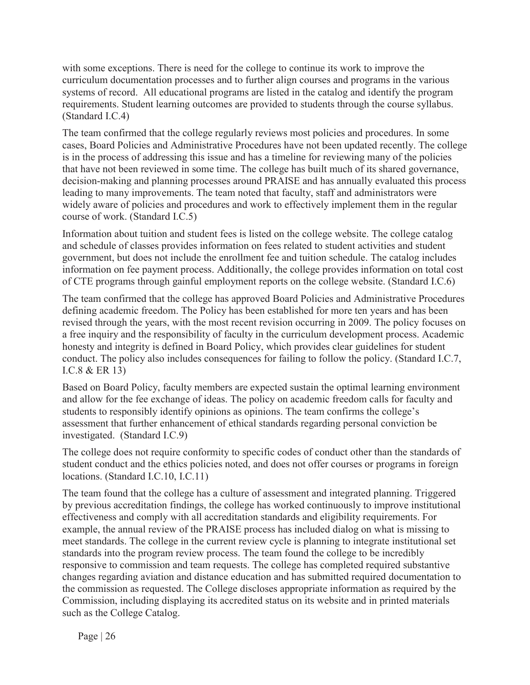with some exceptions. There is need for the college to continue its work to improve the curriculum documentation processes and to further align courses and programs in the various systems of record. All educational programs are listed in the catalog and identify the program requirements. Student learning outcomes are provided to students through the course syllabus. (Standard I.C.4)

The team confirmed that the college regularly reviews most policies and procedures. In some cases, Board Policies and Administrative Procedures have not been updated recently. The college is in the process of addressing this issue and has a timeline for reviewing many of the policies that have not been reviewed in some time. The college has built much of its shared governance, decision-making and planning processes around PRAISE and has annually evaluated this process leading to many improvements. The team noted that faculty, staff and administrators were widely aware of policies and procedures and work to effectively implement them in the regular course of work. (Standard I.C.5)

Information about tuition and student fees is listed on the college website. The college catalog and schedule of classes provides information on fees related to student activities and student government, but does not include the enrollment fee and tuition schedule. The catalog includes information on fee payment process. Additionally, the college provides information on total cost of CTE programs through gainful employment reports on the college website. (Standard I.C.6)

The team confirmed that the college has approved Board Policies and Administrative Procedures defining academic freedom. The Policy has been established for more ten years and has been revised through the years, with the most recent revision occurring in 2009. The policy focuses on a free inquiry and the responsibility of faculty in the curriculum development process. Academic honesty and integrity is defined in Board Policy, which provides clear guidelines for student conduct. The policy also includes consequences for failing to follow the policy. (Standard I.C.7, I.C.8 & ER 13)

Based on Board Policy, faculty members are expected sustain the optimal learning environment and allow for the fee exchange of ideas. The policy on academic freedom calls for faculty and students to responsibly identify opinions as opinions. The team confirms the college's assessment that further enhancement of ethical standards regarding personal conviction be investigated. (Standard I.C.9)

The college does not require conformity to specific codes of conduct other than the standards of student conduct and the ethics policies noted, and does not offer courses or programs in foreign locations. (Standard I.C.10, I.C.11)

The team found that the college has a culture of assessment and integrated planning. Triggered by previous accreditation findings, the college has worked continuously to improve institutional effectiveness and comply with all accreditation standards and eligibility requirements. For example, the annual review of the PRAISE process has included dialog on what is missing to meet standards. The college in the current review cycle is planning to integrate institutional set standards into the program review process. The team found the college to be incredibly responsive to commission and team requests. The college has completed required substantive changes regarding aviation and distance education and has submitted required documentation to the commission as requested. The College discloses appropriate information as required by the Commission, including displaying its accredited status on its website and in printed materials such as the College Catalog.

Page | 26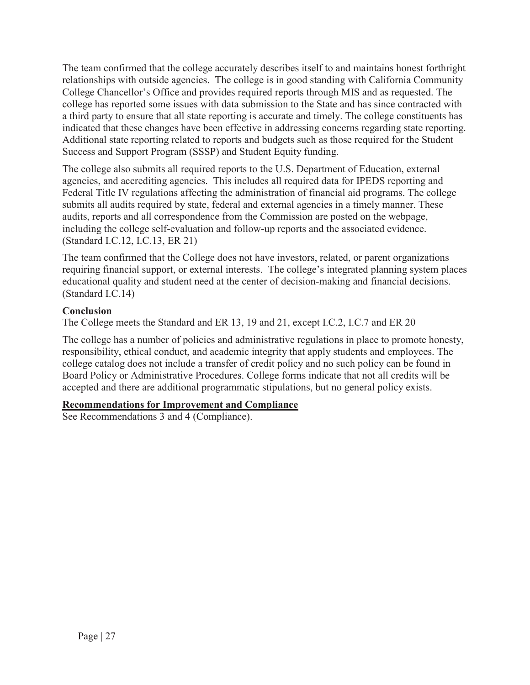The team confirmed that the college accurately describes itself to and maintains honest forthright relationships with outside agencies. The college is in good standing with California Community College Chancellor's Office and provides required reports through MIS and as requested. The college has reported some issues with data submission to the State and has since contracted with a third party to ensure that all state reporting is accurate and timely. The college constituents has indicated that these changes have been effective in addressing concerns regarding state reporting. Additional state reporting related to reports and budgets such as those required for the Student Success and Support Program (SSSP) and Student Equity funding.

The college also submits all required reports to the U.S. Department of Education, external agencies, and accrediting agencies. This includes all required data for IPEDS reporting and Federal Title IV regulations affecting the administration of financial aid programs. The college submits all audits required by state, federal and external agencies in a timely manner. These audits, reports and all correspondence from the Commission are posted on the webpage, including the college self-evaluation and follow-up reports and the associated evidence. (Standard I.C.12, I.C.13, ER 21)

The team confirmed that the College does not have investors, related, or parent organizations requiring financial support, or external interests. The college's integrated planning system places educational quality and student need at the center of decision-making and financial decisions. (Standard I.C.14)

### **Conclusion**

The College meets the Standard and ER 13, 19 and 21, except I.C.2, I.C.7 and ER 20

The college has a number of policies and administrative regulations in place to promote honesty, responsibility, ethical conduct, and academic integrity that apply students and employees. The college catalog does not include a transfer of credit policy and no such policy can be found in Board Policy or Administrative Procedures. College forms indicate that not all credits will be accepted and there are additional programmatic stipulations, but no general policy exists.

## **Recommendations for Improvement and Compliance**

See Recommendations 3 and 4 (Compliance).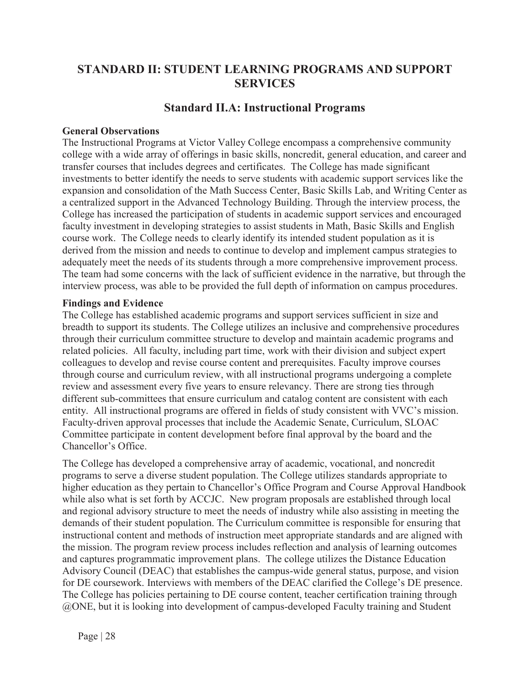# **STANDARD II: STUDENT LEARNING PROGRAMS AND SUPPORT SERVICES**

## **Standard II.A: Instructional Programs**

#### **General Observations**

The Instructional Programs at Victor Valley College encompass a comprehensive community college with a wide array of offerings in basic skills, noncredit, general education, and career and transfer courses that includes degrees and certificates. The College has made significant investments to better identify the needs to serve students with academic support services like the expansion and consolidation of the Math Success Center, Basic Skills Lab, and Writing Center as a centralized support in the Advanced Technology Building. Through the interview process, the College has increased the participation of students in academic support services and encouraged faculty investment in developing strategies to assist students in Math, Basic Skills and English course work. The College needs to clearly identify its intended student population as it is derived from the mission and needs to continue to develop and implement campus strategies to adequately meet the needs of its students through a more comprehensive improvement process. The team had some concerns with the lack of sufficient evidence in the narrative, but through the interview process, was able to be provided the full depth of information on campus procedures.

#### **Findings and Evidence**

The College has established academic programs and support services sufficient in size and breadth to support its students. The College utilizes an inclusive and comprehensive procedures through their curriculum committee structure to develop and maintain academic programs and related policies. All faculty, including part time, work with their division and subject expert colleagues to develop and revise course content and prerequisites. Faculty improve courses through course and curriculum review, with all instructional programs undergoing a complete review and assessment every five years to ensure relevancy. There are strong ties through different sub-committees that ensure curriculum and catalog content are consistent with each entity. All instructional programs are offered in fields of study consistent with VVC's mission. Faculty-driven approval processes that include the Academic Senate, Curriculum, SLOAC Committee participate in content development before final approval by the board and the Chancellor's Office.

The College has developed a comprehensive array of academic, vocational, and noncredit programs to serve a diverse student population. The College utilizes standards appropriate to higher education as they pertain to Chancellor's Office Program and Course Approval Handbook while also what is set forth by ACCJC. New program proposals are established through local and regional advisory structure to meet the needs of industry while also assisting in meeting the demands of their student population. The Curriculum committee is responsible for ensuring that instructional content and methods of instruction meet appropriate standards and are aligned with the mission. The program review process includes reflection and analysis of learning outcomes and captures programmatic improvement plans. The college utilizes the Distance Education Advisory Council (DEAC) that establishes the campus-wide general status, purpose, and vision for DE coursework. Interviews with members of the DEAC clarified the College's DE presence. The College has policies pertaining to DE course content, teacher certification training through @ONE, but it is looking into development of campus-developed Faculty training and Student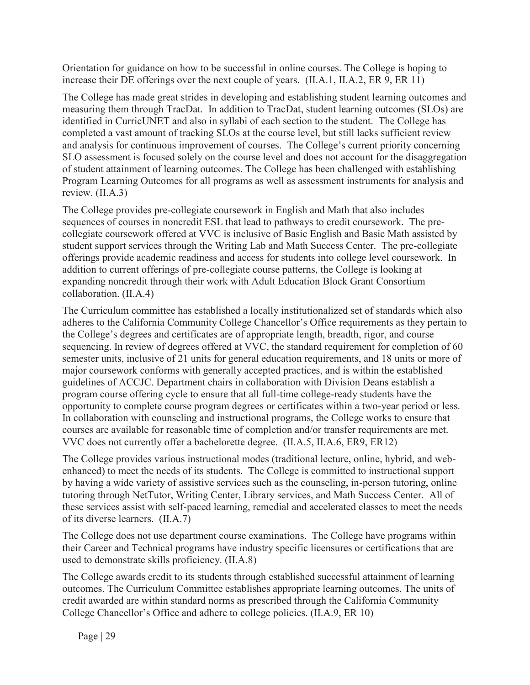Orientation for guidance on how to be successful in online courses. The College is hoping to increase their DE offerings over the next couple of years. (II.A.1, II.A.2, ER 9, ER 11)

The College has made great strides in developing and establishing student learning outcomes and measuring them through TracDat. In addition to TracDat, student learning outcomes (SLOs) are identified in CurricUNET and also in syllabi of each section to the student. The College has completed a vast amount of tracking SLOs at the course level, but still lacks sufficient review and analysis for continuous improvement of courses. The College's current priority concerning SLO assessment is focused solely on the course level and does not account for the disaggregation of student attainment of learning outcomes. The College has been challenged with establishing Program Learning Outcomes for all programs as well as assessment instruments for analysis and review. (II.A.3)

The College provides pre-collegiate coursework in English and Math that also includes sequences of courses in noncredit ESL that lead to pathways to credit coursework. The precollegiate coursework offered at VVC is inclusive of Basic English and Basic Math assisted by student support services through the Writing Lab and Math Success Center. The pre-collegiate offerings provide academic readiness and access for students into college level coursework. In addition to current offerings of pre-collegiate course patterns, the College is looking at expanding noncredit through their work with Adult Education Block Grant Consortium collaboration. (II.A.4)

The Curriculum committee has established a locally institutionalized set of standards which also adheres to the California Community College Chancellor's Office requirements as they pertain to the College's degrees and certificates are of appropriate length, breadth, rigor, and course sequencing. In review of degrees offered at VVC, the standard requirement for completion of 60 semester units, inclusive of 21 units for general education requirements, and 18 units or more of major coursework conforms with generally accepted practices, and is within the established guidelines of ACCJC. Department chairs in collaboration with Division Deans establish a program course offering cycle to ensure that all full-time college-ready students have the opportunity to complete course program degrees or certificates within a two-year period or less. In collaboration with counseling and instructional programs, the College works to ensure that courses are available for reasonable time of completion and/or transfer requirements are met. VVC does not currently offer a bachelorette degree. (II.A.5, II.A.6, ER9, ER12)

The College provides various instructional modes (traditional lecture, online, hybrid, and webenhanced) to meet the needs of its students. The College is committed to instructional support by having a wide variety of assistive services such as the counseling, in-person tutoring, online tutoring through NetTutor, Writing Center, Library services, and Math Success Center. All of these services assist with self-paced learning, remedial and accelerated classes to meet the needs of its diverse learners. (II.A.7)

The College does not use department course examinations. The College have programs within their Career and Technical programs have industry specific licensures or certifications that are used to demonstrate skills proficiency. (II.A.8)

The College awards credit to its students through established successful attainment of learning outcomes. The Curriculum Committee establishes appropriate learning outcomes. The units of credit awarded are within standard norms as prescribed through the California Community College Chancellor's Office and adhere to college policies. (II.A.9, ER 10)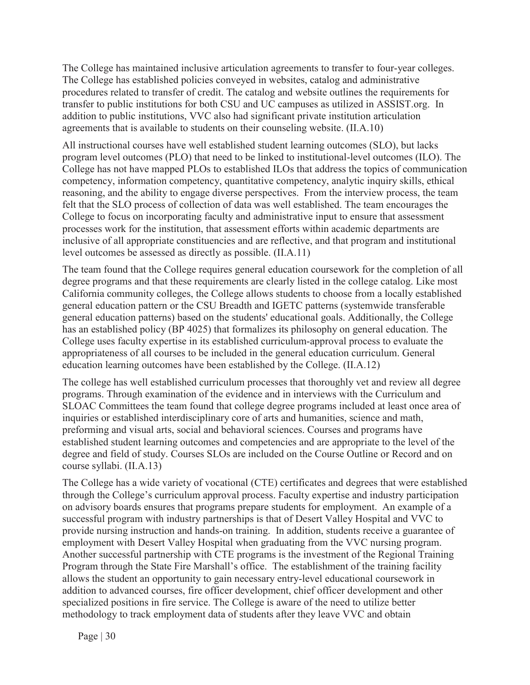The College has maintained inclusive articulation agreements to transfer to four-year colleges. The College has established policies conveyed in websites, catalog and administrative procedures related to transfer of credit. The catalog and website outlines the requirements for transfer to public institutions for both CSU and UC campuses as utilized in ASSIST.org. In addition to public institutions, VVC also had significant private institution articulation agreements that is available to students on their counseling website. (II.A.10)

All instructional courses have well established student learning outcomes (SLO), but lacks program level outcomes (PLO) that need to be linked to institutional-level outcomes (ILO). The College has not have mapped PLOs to established ILOs that address the topics of communication competency, information competency, quantitative competency, analytic inquiry skills, ethical reasoning, and the ability to engage diverse perspectives. From the interview process, the team felt that the SLO process of collection of data was well established. The team encourages the College to focus on incorporating faculty and administrative input to ensure that assessment processes work for the institution, that assessment efforts within academic departments are inclusive of all appropriate constituencies and are reflective, and that program and institutional level outcomes be assessed as directly as possible. (II.A.11)

The team found that the College requires general education coursework for the completion of all degree programs and that these requirements are clearly listed in the college catalog. Like most California community colleges, the College allows students to choose from a locally established general education pattern or the CSU Breadth and IGETC patterns (systemwide transferable general education patterns) based on the students' educational goals. Additionally, the College has an established policy (BP 4025) that formalizes its philosophy on general education. The College uses faculty expertise in its established curriculum-approval process to evaluate the appropriateness of all courses to be included in the general education curriculum. General education learning outcomes have been established by the College. (II.A.12)

The college has well established curriculum processes that thoroughly vet and review all degree programs. Through examination of the evidence and in interviews with the Curriculum and SLOAC Committees the team found that college degree programs included at least once area of inquiries or established interdisciplinary core of arts and humanities, science and math, preforming and visual arts, social and behavioral sciences. Courses and programs have established student learning outcomes and competencies and are appropriate to the level of the degree and field of study. Courses SLOs are included on the Course Outline or Record and on course syllabi. (II.A.13)

The College has a wide variety of vocational (CTE) certificates and degrees that were established through the College's curriculum approval process. Faculty expertise and industry participation on advisory boards ensures that programs prepare students for employment. An example of a successful program with industry partnerships is that of Desert Valley Hospital and VVC to provide nursing instruction and hands-on training. In addition, students receive a guarantee of employment with Desert Valley Hospital when graduating from the VVC nursing program. Another successful partnership with CTE programs is the investment of the Regional Training Program through the State Fire Marshall's office. The establishment of the training facility allows the student an opportunity to gain necessary entry-level educational coursework in addition to advanced courses, fire officer development, chief officer development and other specialized positions in fire service. The College is aware of the need to utilize better methodology to track employment data of students after they leave VVC and obtain

Page  $|30$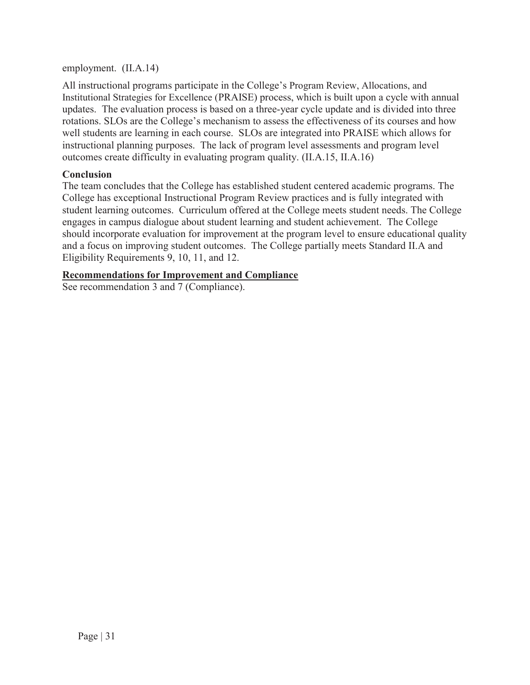employment. (II.A.14)

All instructional programs participate in the College's Program Review, Allocations, and Institutional Strategies for Excellence (PRAISE) process, which is built upon a cycle with annual updates. The evaluation process is based on a three-year cycle update and is divided into three rotations. SLOs are the College's mechanism to assess the effectiveness of its courses and how well students are learning in each course. SLOs are integrated into PRAISE which allows for instructional planning purposes. The lack of program level assessments and program level outcomes create difficulty in evaluating program quality. (II.A.15, II.A.16)

### **Conclusion**

The team concludes that the College has established student centered academic programs. The College has exceptional Instructional Program Review practices and is fully integrated with student learning outcomes. Curriculum offered at the College meets student needs. The College engages in campus dialogue about student learning and student achievement. The College should incorporate evaluation for improvement at the program level to ensure educational quality and a focus on improving student outcomes. The College partially meets Standard II.A and Eligibility Requirements 9, 10, 11, and 12.

#### **Recommendations for Improvement and Compliance**

See recommendation 3 and 7 (Compliance).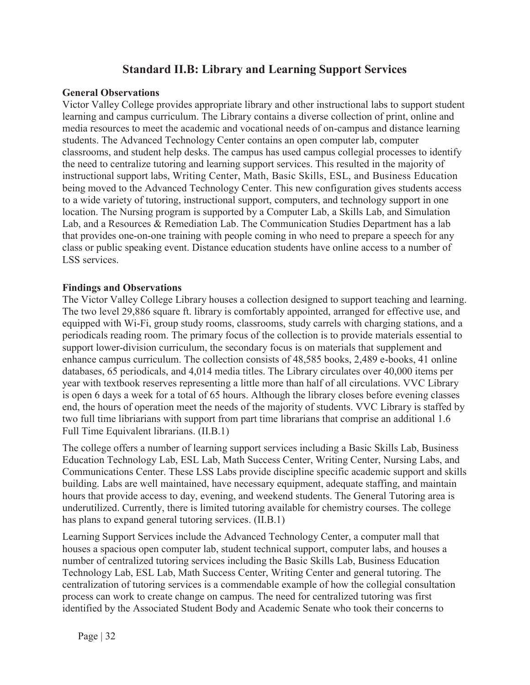# **Standard II.B: Library and Learning Support Services**

#### **General Observations**

Victor Valley College provides appropriate library and other instructional labs to support student learning and campus curriculum. The Library contains a diverse collection of print, online and media resources to meet the academic and vocational needs of on-campus and distance learning students. The Advanced Technology Center contains an open computer lab, computer classrooms, and student help desks. The campus has used campus collegial processes to identify the need to centralize tutoring and learning support services. This resulted in the majority of instructional support labs, Writing Center, Math, Basic Skills, ESL, and Business Education being moved to the Advanced Technology Center. This new configuration gives students access to a wide variety of tutoring, instructional support, computers, and technology support in one location. The Nursing program is supported by a Computer Lab, a Skills Lab, and Simulation Lab, and a Resources & Remediation Lab. The Communication Studies Department has a lab that provides one-on-one training with people coming in who need to prepare a speech for any class or public speaking event. Distance education students have online access to a number of LSS services.

#### **Findings and Observations**

The Victor Valley College Library houses a collection designed to support teaching and learning. The two level 29,886 square ft. library is comfortably appointed, arranged for effective use, and equipped with Wi-Fi, group study rooms, classrooms, study carrels with charging stations, and a periodicals reading room. The primary focus of the collection is to provide materials essential to support lower-division curriculum, the secondary focus is on materials that supplement and enhance campus curriculum. The collection consists of 48,585 books, 2,489 e-books, 41 online databases, 65 periodicals, and 4,014 media titles. The Library circulates over 40,000 items per year with textbook reserves representing a little more than half of all circulations. VVC Library is open 6 days a week for a total of 65 hours. Although the library closes before evening classes end, the hours of operation meet the needs of the majority of students. VVC Library is staffed by two full time libriarians with support from part time librarians that comprise an additional 1.6 Full Time Equivalent librarians. (II.B.1)

The college offers a number of learning support services including a Basic Skills Lab, Business Education Technology Lab, ESL Lab, Math Success Center, Writing Center, Nursing Labs, and Communications Center. These LSS Labs provide discipline specific academic support and skills building. Labs are well maintained, have necessary equipment, adequate staffing, and maintain hours that provide access to day, evening, and weekend students. The General Tutoring area is underutilized. Currently, there is limited tutoring available for chemistry courses. The college has plans to expand general tutoring services. (II.B.1)

Learning Support Services include the Advanced Technology Center, a computer mall that houses a spacious open computer lab, student technical support, computer labs, and houses a number of centralized tutoring services including the Basic Skills Lab, Business Education Technology Lab, ESL Lab, Math Success Center, Writing Center and general tutoring. The centralization of tutoring services is a commendable example of how the collegial consultation process can work to create change on campus. The need for centralized tutoring was first identified by the Associated Student Body and Academic Senate who took their concerns to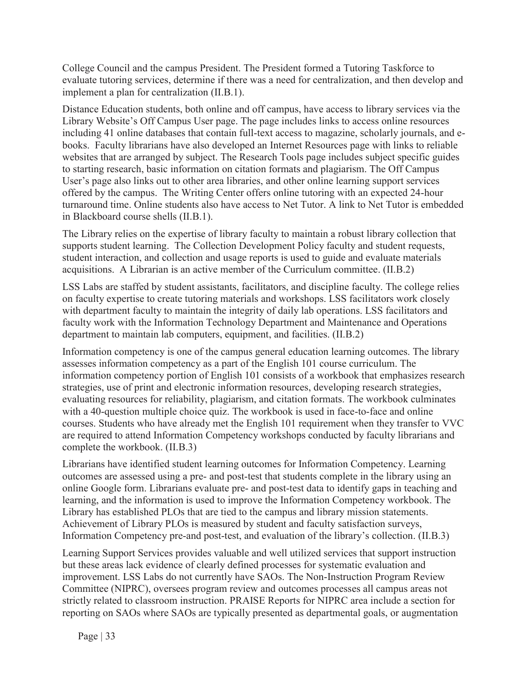College Council and the campus President. The President formed a Tutoring Taskforce to evaluate tutoring services, determine if there was a need for centralization, and then develop and implement a plan for centralization (II.B.1).

Distance Education students, both online and off campus, have access to library services via the Library Website's Off Campus User page. The page includes links to access online resources including 41 online databases that contain full-text access to magazine, scholarly journals, and ebooks. Faculty librarians have also developed an Internet Resources page with links to reliable websites that are arranged by subject. The Research Tools page includes subject specific guides to starting research, basic information on citation formats and plagiarism. The Off Campus User's page also links out to other area libraries, and other online learning support services offered by the campus. The Writing Center offers online tutoring with an expected 24-hour turnaround time. Online students also have access to Net Tutor. A link to Net Tutor is embedded in Blackboard course shells (II.B.1).

The Library relies on the expertise of library faculty to maintain a robust library collection that supports student learning. The Collection Development Policy faculty and student requests, student interaction, and collection and usage reports is used to guide and evaluate materials acquisitions. A Librarian is an active member of the Curriculum committee. (II.B.2)

LSS Labs are staffed by student assistants, facilitators, and discipline faculty. The college relies on faculty expertise to create tutoring materials and workshops. LSS facilitators work closely with department faculty to maintain the integrity of daily lab operations. LSS facilitators and faculty work with the Information Technology Department and Maintenance and Operations department to maintain lab computers, equipment, and facilities. (II.B.2)

Information competency is one of the campus general education learning outcomes. The library assesses information competency as a part of the English 101 course curriculum. The information competency portion of English 101 consists of a workbook that emphasizes research strategies, use of print and electronic information resources, developing research strategies, evaluating resources for reliability, plagiarism, and citation formats. The workbook culminates with a 40-question multiple choice quiz. The workbook is used in face-to-face and online courses. Students who have already met the English 101 requirement when they transfer to VVC are required to attend Information Competency workshops conducted by faculty librarians and complete the workbook. (II.B.3)

Librarians have identified student learning outcomes for Information Competency. Learning outcomes are assessed using a pre- and post-test that students complete in the library using an online Google form. Librarians evaluate pre- and post-test data to identify gaps in teaching and learning, and the information is used to improve the Information Competency workbook. The Library has established PLOs that are tied to the campus and library mission statements. Achievement of Library PLOs is measured by student and faculty satisfaction surveys, Information Competency pre-and post-test, and evaluation of the library's collection. (II.B.3)

Learning Support Services provides valuable and well utilized services that support instruction but these areas lack evidence of clearly defined processes for systematic evaluation and improvement. LSS Labs do not currently have SAOs. The Non-Instruction Program Review Committee (NIPRC), oversees program review and outcomes processes all campus areas not strictly related to classroom instruction. PRAISE Reports for NIPRC area include a section for reporting on SAOs where SAOs are typically presented as departmental goals, or augmentation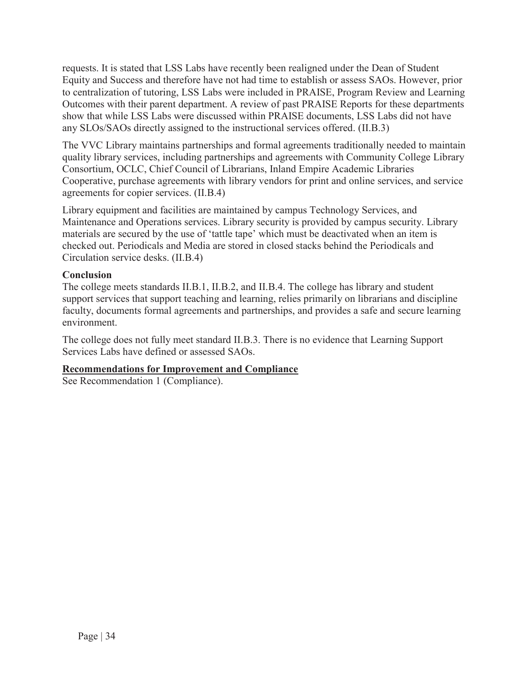requests. It is stated that LSS Labs have recently been realigned under the Dean of Student Equity and Success and therefore have not had time to establish or assess SAOs. However, prior to centralization of tutoring, LSS Labs were included in PRAISE, Program Review and Learning Outcomes with their parent department. A review of past PRAISE Reports for these departments show that while LSS Labs were discussed within PRAISE documents, LSS Labs did not have any SLOs/SAOs directly assigned to the instructional services offered. (II.B.3)

The VVC Library maintains partnerships and formal agreements traditionally needed to maintain quality library services, including partnerships and agreements with Community College Library Consortium, OCLC, Chief Council of Librarians, Inland Empire Academic Libraries Cooperative, purchase agreements with library vendors for print and online services, and service agreements for copier services. (II.B.4)

Library equipment and facilities are maintained by campus Technology Services, and Maintenance and Operations services. Library security is provided by campus security. Library materials are secured by the use of 'tattle tape' which must be deactivated when an item is checked out. Periodicals and Media are stored in closed stacks behind the Periodicals and Circulation service desks. (II.B.4)

### **Conclusion**

The college meets standards II.B.1, II.B.2, and II.B.4. The college has library and student support services that support teaching and learning, relies primarily on librarians and discipline faculty, documents formal agreements and partnerships, and provides a safe and secure learning environment.

The college does not fully meet standard II.B.3. There is no evidence that Learning Support Services Labs have defined or assessed SAOs.

### **Recommendations for Improvement and Compliance**

See Recommendation 1 (Compliance).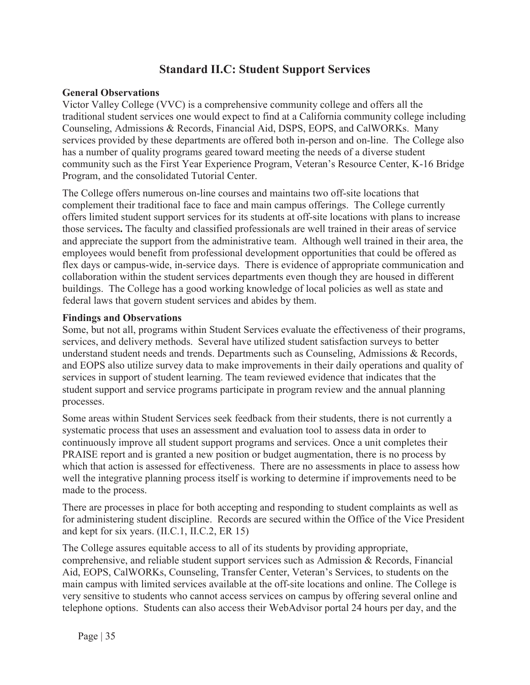## **Standard II.C: Student Support Services**

### **General Observations**

Victor Valley College (VVC) is a comprehensive community college and offers all the traditional student services one would expect to find at a California community college including Counseling, Admissions & Records, Financial Aid, DSPS, EOPS, and CalWORKs. Many services provided by these departments are offered both in-person and on-line. The College also has a number of quality programs geared toward meeting the needs of a diverse student community such as the First Year Experience Program, Veteran's Resource Center, K-16 Bridge Program, and the consolidated Tutorial Center.

The College offers numerous on-line courses and maintains two off-site locations that complement their traditional face to face and main campus offerings. The College currently offers limited student support services for its students at off-site locations with plans to increase those services**.** The faculty and classified professionals are well trained in their areas of service and appreciate the support from the administrative team. Although well trained in their area, the employees would benefit from professional development opportunities that could be offered as flex days or campus-wide, in-service days. There is evidence of appropriate communication and collaboration within the student services departments even though they are housed in different buildings. The College has a good working knowledge of local policies as well as state and federal laws that govern student services and abides by them.

### **Findings and Observations**

Some, but not all, programs within Student Services evaluate the effectiveness of their programs, services, and delivery methods. Several have utilized student satisfaction surveys to better understand student needs and trends. Departments such as Counseling, Admissions & Records, and EOPS also utilize survey data to make improvements in their daily operations and quality of services in support of student learning. The team reviewed evidence that indicates that the student support and service programs participate in program review and the annual planning processes.

Some areas within Student Services seek feedback from their students, there is not currently a systematic process that uses an assessment and evaluation tool to assess data in order to continuously improve all student support programs and services. Once a unit completes their PRAISE report and is granted a new position or budget augmentation, there is no process by which that action is assessed for effectiveness. There are no assessments in place to assess how well the integrative planning process itself is working to determine if improvements need to be made to the process.

There are processes in place for both accepting and responding to student complaints as well as for administering student discipline. Records are secured within the Office of the Vice President and kept for six years. (II.C.1, II.C.2, ER 15)

The College assures equitable access to all of its students by providing appropriate, comprehensive, and reliable student support services such as Admission & Records, Financial Aid, EOPS, CalWORKs, Counseling, Transfer Center, Veteran's Services, to students on the main campus with limited services available at the off-site locations and online. The College is very sensitive to students who cannot access services on campus by offering several online and telephone options. Students can also access their WebAdvisor portal 24 hours per day, and the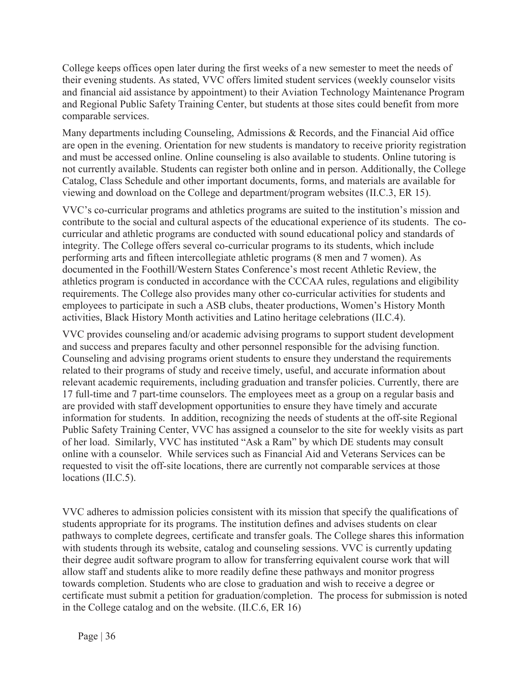College keeps offices open later during the first weeks of a new semester to meet the needs of their evening students. As stated, VVC offers limited student services (weekly counselor visits and financial aid assistance by appointment) to their Aviation Technology Maintenance Program and Regional Public Safety Training Center, but students at those sites could benefit from more comparable services.

Many departments including Counseling, Admissions & Records, and the Financial Aid office are open in the evening. Orientation for new students is mandatory to receive priority registration and must be accessed online. Online counseling is also available to students. Online tutoring is not currently available. Students can register both online and in person. Additionally, the College Catalog, Class Schedule and other important documents, forms, and materials are available for viewing and download on the College and department/program websites (II.C.3, ER 15).

VVC's co-curricular programs and athletics programs are suited to the institution's mission and contribute to the social and cultural aspects of the educational experience of its students. The cocurricular and athletic programs are conducted with sound educational policy and standards of integrity. The College offers several co-curricular programs to its students, which include performing arts and fifteen intercollegiate athletic programs (8 men and 7 women). As documented in the Foothill/Western States Conference's most recent Athletic Review, the athletics program is conducted in accordance with the CCCAA rules, regulations and eligibility requirements. The College also provides many other co-curricular activities for students and employees to participate in such a ASB clubs, theater productions, Women's History Month activities, Black History Month activities and Latino heritage celebrations (II.C.4).

VVC provides counseling and/or academic advising programs to support student development and success and prepares faculty and other personnel responsible for the advising function. Counseling and advising programs orient students to ensure they understand the requirements related to their programs of study and receive timely, useful, and accurate information about relevant academic requirements, including graduation and transfer policies. Currently, there are 17 full-time and 7 part-time counselors. The employees meet as a group on a regular basis and are provided with staff development opportunities to ensure they have timely and accurate information for students. In addition, recognizing the needs of students at the off-site Regional Public Safety Training Center, VVC has assigned a counselor to the site for weekly visits as part of her load. Similarly, VVC has instituted "Ask a Ram" by which DE students may consult online with a counselor. While services such as Financial Aid and Veterans Services can be requested to visit the off-site locations, there are currently not comparable services at those locations (II.C.5).

VVC adheres to admission policies consistent with its mission that specify the qualifications of students appropriate for its programs. The institution defines and advises students on clear pathways to complete degrees, certificate and transfer goals. The College shares this information with students through its website, catalog and counseling sessions. VVC is currently updating their degree audit software program to allow for transferring equivalent course work that will allow staff and students alike to more readily define these pathways and monitor progress towards completion. Students who are close to graduation and wish to receive a degree or certificate must submit a petition for graduation/completion. The process for submission is noted in the College catalog and on the website. (II.C.6, ER 16)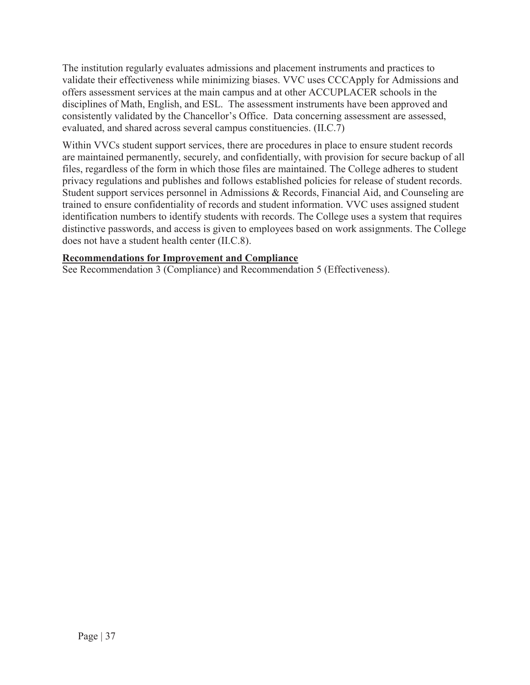The institution regularly evaluates admissions and placement instruments and practices to validate their effectiveness while minimizing biases. VVC uses CCCApply for Admissions and offers assessment services at the main campus and at other ACCUPLACER schools in the disciplines of Math, English, and ESL. The assessment instruments have been approved and consistently validated by the Chancellor's Office. Data concerning assessment are assessed, evaluated, and shared across several campus constituencies. (II.C.7)

Within VVCs student support services, there are procedures in place to ensure student records are maintained permanently, securely, and confidentially, with provision for secure backup of all files, regardless of the form in which those files are maintained. The College adheres to student privacy regulations and publishes and follows established policies for release of student records. Student support services personnel in Admissions & Records, Financial Aid, and Counseling are trained to ensure confidentiality of records and student information. VVC uses assigned student identification numbers to identify students with records. The College uses a system that requires distinctive passwords, and access is given to employees based on work assignments. The College does not have a student health center (II.C.8).

#### **Recommendations for Improvement and Compliance**

See Recommendation 3 (Compliance) and Recommendation 5 (Effectiveness).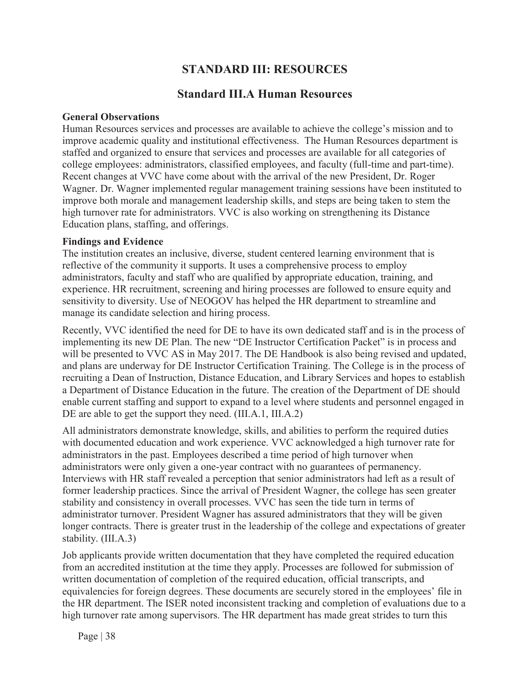# **STANDARD III: RESOURCES**

# **Standard III.A Human Resources**

#### **General Observations**

Human Resources services and processes are available to achieve the college's mission and to improve academic quality and institutional effectiveness. The Human Resources department is staffed and organized to ensure that services and processes are available for all categories of college employees: administrators, classified employees, and faculty (full-time and part-time). Recent changes at VVC have come about with the arrival of the new President, Dr. Roger Wagner. Dr. Wagner implemented regular management training sessions have been instituted to improve both morale and management leadership skills, and steps are being taken to stem the high turnover rate for administrators. VVC is also working on strengthening its Distance Education plans, staffing, and offerings.

#### **Findings and Evidence**

The institution creates an inclusive, diverse, student centered learning environment that is reflective of the community it supports. It uses a comprehensive process to employ administrators, faculty and staff who are qualified by appropriate education, training, and experience. HR recruitment, screening and hiring processes are followed to ensure equity and sensitivity to diversity. Use of NEOGOV has helped the HR department to streamline and manage its candidate selection and hiring process.

Recently, VVC identified the need for DE to have its own dedicated staff and is in the process of implementing its new DE Plan. The new "DE Instructor Certification Packet" is in process and will be presented to VVC AS in May 2017. The DE Handbook is also being revised and updated, and plans are underway for DE Instructor Certification Training. The College is in the process of recruiting a Dean of Instruction, Distance Education, and Library Services and hopes to establish a Department of Distance Education in the future. The creation of the Department of DE should enable current staffing and support to expand to a level where students and personnel engaged in DE are able to get the support they need. (III.A.1, III.A.2)

All administrators demonstrate knowledge, skills, and abilities to perform the required duties with documented education and work experience. VVC acknowledged a high turnover rate for administrators in the past. Employees described a time period of high turnover when administrators were only given a one-year contract with no guarantees of permanency. Interviews with HR staff revealed a perception that senior administrators had left as a result of former leadership practices. Since the arrival of President Wagner, the college has seen greater stability and consistency in overall processes. VVC has seen the tide turn in terms of administrator turnover. President Wagner has assured administrators that they will be given longer contracts. There is greater trust in the leadership of the college and expectations of greater stability. (III.A.3)

Job applicants provide written documentation that they have completed the required education from an accredited institution at the time they apply. Processes are followed for submission of written documentation of completion of the required education, official transcripts, and equivalencies for foreign degrees. These documents are securely stored in the employees' file in the HR department. The ISER noted inconsistent tracking and completion of evaluations due to a high turnover rate among supervisors. The HR department has made great strides to turn this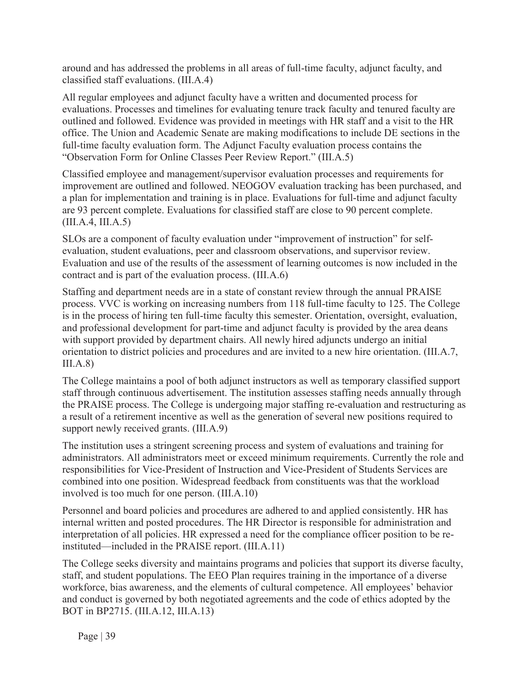around and has addressed the problems in all areas of full-time faculty, adjunct faculty, and classified staff evaluations. (III.A.4)

All regular employees and adjunct faculty have a written and documented process for evaluations. Processes and timelines for evaluating tenure track faculty and tenured faculty are outlined and followed. Evidence was provided in meetings with HR staff and a visit to the HR office. The Union and Academic Senate are making modifications to include DE sections in the full-time faculty evaluation form. The Adjunct Faculty evaluation process contains the "Observation Form for Online Classes Peer Review Report." (III.A.5)

Classified employee and management/supervisor evaluation processes and requirements for improvement are outlined and followed. NEOGOV evaluation tracking has been purchased, and a plan for implementation and training is in place. Evaluations for full-time and adjunct faculty are 93 percent complete. Evaluations for classified staff are close to 90 percent complete. (III.A.4, III.A.5)

SLOs are a component of faculty evaluation under "improvement of instruction" for selfevaluation, student evaluations, peer and classroom observations, and supervisor review. Evaluation and use of the results of the assessment of learning outcomes is now included in the contract and is part of the evaluation process. (III.A.6)

Staffing and department needs are in a state of constant review through the annual PRAISE process. VVC is working on increasing numbers from 118 full-time faculty to 125. The College is in the process of hiring ten full-time faculty this semester. Orientation, oversight, evaluation, and professional development for part-time and adjunct faculty is provided by the area deans with support provided by department chairs. All newly hired adjuncts undergo an initial orientation to district policies and procedures and are invited to a new hire orientation. (III.A.7,  $III.A.8)$ 

The College maintains a pool of both adjunct instructors as well as temporary classified support staff through continuous advertisement. The institution assesses staffing needs annually through the PRAISE process. The College is undergoing major staffing re-evaluation and restructuring as a result of a retirement incentive as well as the generation of several new positions required to support newly received grants. (III.A.9)

The institution uses a stringent screening process and system of evaluations and training for administrators. All administrators meet or exceed minimum requirements. Currently the role and responsibilities for Vice-President of Instruction and Vice-President of Students Services are combined into one position. Widespread feedback from constituents was that the workload involved is too much for one person. (III.A.10)

Personnel and board policies and procedures are adhered to and applied consistently. HR has internal written and posted procedures. The HR Director is responsible for administration and interpretation of all policies. HR expressed a need for the compliance officer position to be reinstituted—included in the PRAISE report. (III.A.11)

The College seeks diversity and maintains programs and policies that support its diverse faculty, staff, and student populations. The EEO Plan requires training in the importance of a diverse workforce, bias awareness, and the elements of cultural competence. All employees' behavior and conduct is governed by both negotiated agreements and the code of ethics adopted by the BOT in BP2715. (III.A.12, III.A.13)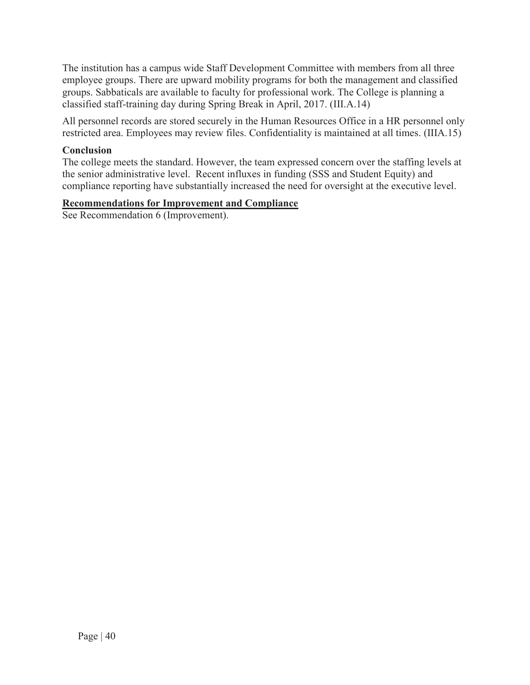The institution has a campus wide Staff Development Committee with members from all three employee groups. There are upward mobility programs for both the management and classified groups. Sabbaticals are available to faculty for professional work. The College is planning a classified staff-training day during Spring Break in April, 2017. (III.A.14)

All personnel records are stored securely in the Human Resources Office in a HR personnel only restricted area. Employees may review files. Confidentiality is maintained at all times. (IIIA.15)

### **Conclusion**

The college meets the standard. However, the team expressed concern over the staffing levels at the senior administrative level. Recent influxes in funding (SSS and Student Equity) and compliance reporting have substantially increased the need for oversight at the executive level.

#### **Recommendations for Improvement and Compliance**

See Recommendation 6 (Improvement).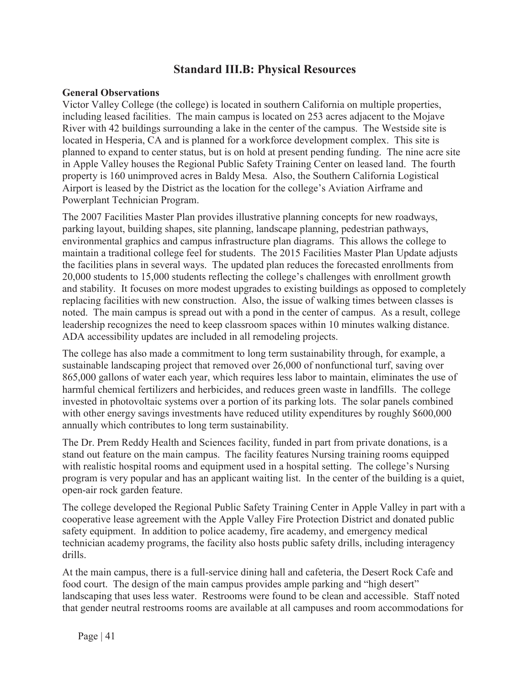## **Standard III.B: Physical Resources**

#### **General Observations**

Victor Valley College (the college) is located in southern California on multiple properties, including leased facilities. The main campus is located on 253 acres adjacent to the Mojave River with 42 buildings surrounding a lake in the center of the campus. The Westside site is located in Hesperia, CA and is planned for a workforce development complex. This site is planned to expand to center status, but is on hold at present pending funding. The nine acre site in Apple Valley houses the Regional Public Safety Training Center on leased land. The fourth property is 160 unimproved acres in Baldy Mesa. Also, the Southern California Logistical Airport is leased by the District as the location for the college's Aviation Airframe and Powerplant Technician Program.

The 2007 Facilities Master Plan provides illustrative planning concepts for new roadways, parking layout, building shapes, site planning, landscape planning, pedestrian pathways, environmental graphics and campus infrastructure plan diagrams. This allows the college to maintain a traditional college feel for students. The 2015 Facilities Master Plan Update adjusts the facilities plans in several ways. The updated plan reduces the forecasted enrollments from 20,000 students to 15,000 students reflecting the college's challenges with enrollment growth and stability. It focuses on more modest upgrades to existing buildings as opposed to completely replacing facilities with new construction. Also, the issue of walking times between classes is noted. The main campus is spread out with a pond in the center of campus. As a result, college leadership recognizes the need to keep classroom spaces within 10 minutes walking distance. ADA accessibility updates are included in all remodeling projects.

The college has also made a commitment to long term sustainability through, for example, a sustainable landscaping project that removed over 26,000 of nonfunctional turf, saving over 865,000 gallons of water each year, which requires less labor to maintain, eliminates the use of harmful chemical fertilizers and herbicides, and reduces green waste in landfills. The college invested in photovoltaic systems over a portion of its parking lots. The solar panels combined with other energy savings investments have reduced utility expenditures by roughly \$600,000 annually which contributes to long term sustainability.

The Dr. Prem Reddy Health and Sciences facility, funded in part from private donations, is a stand out feature on the main campus. The facility features Nursing training rooms equipped with realistic hospital rooms and equipment used in a hospital setting. The college's Nursing program is very popular and has an applicant waiting list. In the center of the building is a quiet, open-air rock garden feature.

The college developed the Regional Public Safety Training Center in Apple Valley in part with a cooperative lease agreement with the Apple Valley Fire Protection District and donated public safety equipment. In addition to police academy, fire academy, and emergency medical technician academy programs, the facility also hosts public safety drills, including interagency drills.

At the main campus, there is a full-service dining hall and cafeteria, the Desert Rock Cafe and food court. The design of the main campus provides ample parking and "high desert" landscaping that uses less water. Restrooms were found to be clean and accessible. Staff noted that gender neutral restrooms rooms are available at all campuses and room accommodations for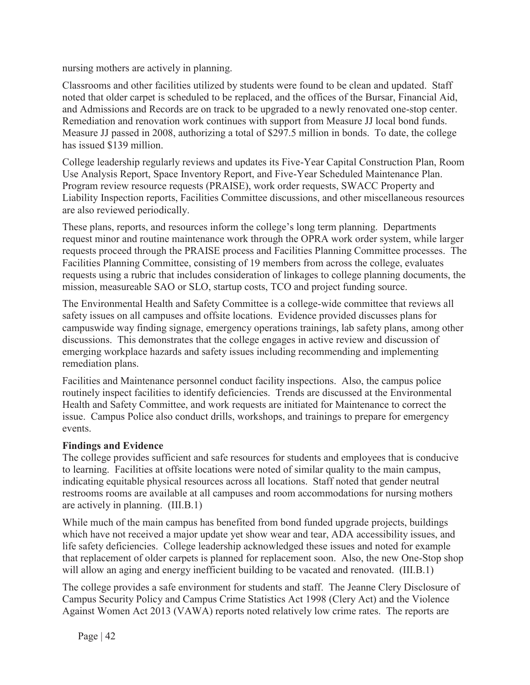nursing mothers are actively in planning.

Classrooms and other facilities utilized by students were found to be clean and updated. Staff noted that older carpet is scheduled to be replaced, and the offices of the Bursar, Financial Aid, and Admissions and Records are on track to be upgraded to a newly renovated one-stop center. Remediation and renovation work continues with support from Measure JJ local bond funds. Measure JJ passed in 2008, authorizing a total of \$297.5 million in bonds. To date, the college has issued \$139 million.

College leadership regularly reviews and updates its Five-Year Capital Construction Plan, Room Use Analysis Report, Space Inventory Report, and Five-Year Scheduled Maintenance Plan. Program review resource requests (PRAISE), work order requests, SWACC Property and Liability Inspection reports, Facilities Committee discussions, and other miscellaneous resources are also reviewed periodically.

These plans, reports, and resources inform the college's long term planning. Departments request minor and routine maintenance work through the OPRA work order system, while larger requests proceed through the PRAISE process and Facilities Planning Committee processes. The Facilities Planning Committee, consisting of 19 members from across the college, evaluates requests using a rubric that includes consideration of linkages to college planning documents, the mission, measureable SAO or SLO, startup costs, TCO and project funding source.

The Environmental Health and Safety Committee is a college-wide committee that reviews all safety issues on all campuses and offsite locations. Evidence provided discusses plans for campuswide way finding signage, emergency operations trainings, lab safety plans, among other discussions. This demonstrates that the college engages in active review and discussion of emerging workplace hazards and safety issues including recommending and implementing remediation plans.

Facilities and Maintenance personnel conduct facility inspections. Also, the campus police routinely inspect facilities to identify deficiencies. Trends are discussed at the Environmental Health and Safety Committee, and work requests are initiated for Maintenance to correct the issue. Campus Police also conduct drills, workshops, and trainings to prepare for emergency events.

### **Findings and Evidence**

The college provides sufficient and safe resources for students and employees that is conducive to learning. Facilities at offsite locations were noted of similar quality to the main campus, indicating equitable physical resources across all locations. Staff noted that gender neutral restrooms rooms are available at all campuses and room accommodations for nursing mothers are actively in planning. (III.B.1)

While much of the main campus has benefited from bond funded upgrade projects, buildings which have not received a major update yet show wear and tear, ADA accessibility issues, and life safety deficiencies. College leadership acknowledged these issues and noted for example that replacement of older carpets is planned for replacement soon. Also, the new One-Stop shop will allow an aging and energy inefficient building to be vacated and renovated. (III.B.1)

The college provides a safe environment for students and staff. The Jeanne Clery Disclosure of Campus Security Policy and Campus Crime Statistics Act 1998 (Clery Act) and the Violence Against Women Act 2013 (VAWA) reports noted relatively low crime rates. The reports are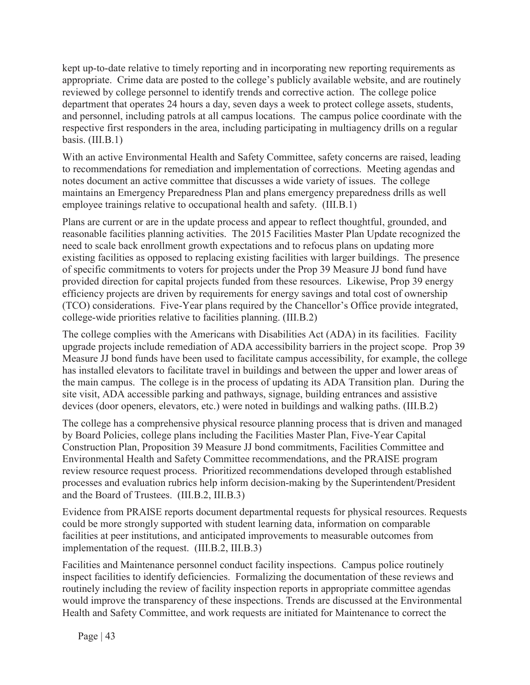kept up-to-date relative to timely reporting and in incorporating new reporting requirements as appropriate. Crime data are posted to the college's publicly available website, and are routinely reviewed by college personnel to identify trends and corrective action. The college police department that operates 24 hours a day, seven days a week to protect college assets, students, and personnel, including patrols at all campus locations. The campus police coordinate with the respective first responders in the area, including participating in multiagency drills on a regular basis. (III.B.1)

With an active Environmental Health and Safety Committee, safety concerns are raised, leading to recommendations for remediation and implementation of corrections. Meeting agendas and notes document an active committee that discusses a wide variety of issues. The college maintains an Emergency Preparedness Plan and plans emergency preparedness drills as well employee trainings relative to occupational health and safety. (III.B.1)

Plans are current or are in the update process and appear to reflect thoughtful, grounded, and reasonable facilities planning activities. The 2015 Facilities Master Plan Update recognized the need to scale back enrollment growth expectations and to refocus plans on updating more existing facilities as opposed to replacing existing facilities with larger buildings. The presence of specific commitments to voters for projects under the Prop 39 Measure JJ bond fund have provided direction for capital projects funded from these resources. Likewise, Prop 39 energy efficiency projects are driven by requirements for energy savings and total cost of ownership (TCO) considerations. Five-Year plans required by the Chancellor's Office provide integrated, college-wide priorities relative to facilities planning. (III.B.2)

The college complies with the Americans with Disabilities Act (ADA) in its facilities. Facility upgrade projects include remediation of ADA accessibility barriers in the project scope. Prop 39 Measure JJ bond funds have been used to facilitate campus accessibility, for example, the college has installed elevators to facilitate travel in buildings and between the upper and lower areas of the main campus. The college is in the process of updating its ADA Transition plan. During the site visit, ADA accessible parking and pathways, signage, building entrances and assistive devices (door openers, elevators, etc.) were noted in buildings and walking paths. (III.B.2)

The college has a comprehensive physical resource planning process that is driven and managed by Board Policies, college plans including the Facilities Master Plan, Five-Year Capital Construction Plan, Proposition 39 Measure JJ bond commitments, Facilities Committee and Environmental Health and Safety Committee recommendations, and the PRAISE program review resource request process. Prioritized recommendations developed through established processes and evaluation rubrics help inform decision-making by the Superintendent/President and the Board of Trustees. (III.B.2, III.B.3)

Evidence from PRAISE reports document departmental requests for physical resources. Requests could be more strongly supported with student learning data, information on comparable facilities at peer institutions, and anticipated improvements to measurable outcomes from implementation of the request. (III.B.2, III.B.3)

Facilities and Maintenance personnel conduct facility inspections. Campus police routinely inspect facilities to identify deficiencies. Formalizing the documentation of these reviews and routinely including the review of facility inspection reports in appropriate committee agendas would improve the transparency of these inspections. Trends are discussed at the Environmental Health and Safety Committee, and work requests are initiated for Maintenance to correct the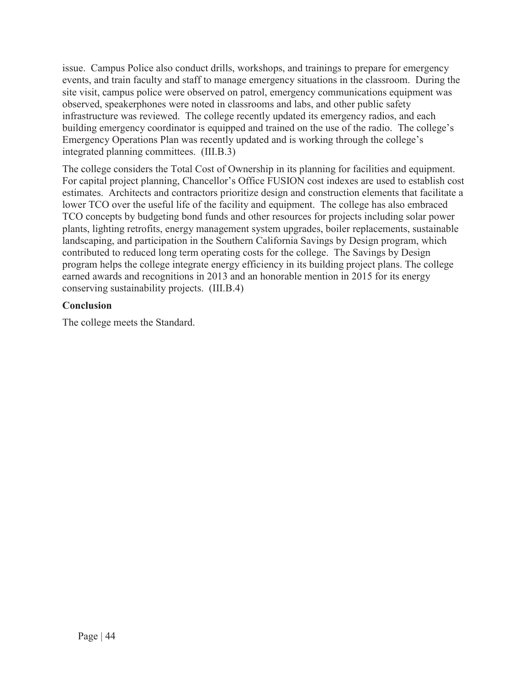issue. Campus Police also conduct drills, workshops, and trainings to prepare for emergency events, and train faculty and staff to manage emergency situations in the classroom. During the site visit, campus police were observed on patrol, emergency communications equipment was observed, speakerphones were noted in classrooms and labs, and other public safety infrastructure was reviewed. The college recently updated its emergency radios, and each building emergency coordinator is equipped and trained on the use of the radio. The college's Emergency Operations Plan was recently updated and is working through the college's integrated planning committees. (III.B.3)

The college considers the Total Cost of Ownership in its planning for facilities and equipment. For capital project planning, Chancellor's Office FUSION cost indexes are used to establish cost estimates. Architects and contractors prioritize design and construction elements that facilitate a lower TCO over the useful life of the facility and equipment. The college has also embraced TCO concepts by budgeting bond funds and other resources for projects including solar power plants, lighting retrofits, energy management system upgrades, boiler replacements, sustainable landscaping, and participation in the Southern California Savings by Design program, which contributed to reduced long term operating costs for the college. The Savings by Design program helps the college integrate energy efficiency in its building project plans. The college earned awards and recognitions in 2013 and an honorable mention in 2015 for its energy conserving sustainability projects. (III.B.4)

### **Conclusion**

The college meets the Standard.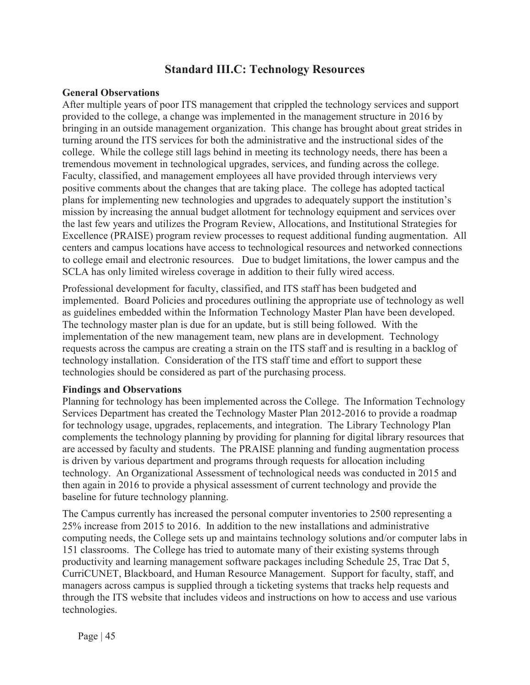## **Standard III.C: Technology Resources**

#### **General Observations**

After multiple years of poor ITS management that crippled the technology services and support provided to the college, a change was implemented in the management structure in 2016 by bringing in an outside management organization. This change has brought about great strides in turning around the ITS services for both the administrative and the instructional sides of the college. While the college still lags behind in meeting its technology needs, there has been a tremendous movement in technological upgrades, services, and funding across the college. Faculty, classified, and management employees all have provided through interviews very positive comments about the changes that are taking place. The college has adopted tactical plans for implementing new technologies and upgrades to adequately support the institution's mission by increasing the annual budget allotment for technology equipment and services over the last few years and utilizes the Program Review, Allocations, and Institutional Strategies for Excellence (PRAISE) program review processes to request additional funding augmentation. All centers and campus locations have access to technological resources and networked connections to college email and electronic resources. Due to budget limitations, the lower campus and the SCLA has only limited wireless coverage in addition to their fully wired access.

Professional development for faculty, classified, and ITS staff has been budgeted and implemented. Board Policies and procedures outlining the appropriate use of technology as well as guidelines embedded within the Information Technology Master Plan have been developed. The technology master plan is due for an update, but is still being followed. With the implementation of the new management team, new plans are in development. Technology requests across the campus are creating a strain on the ITS staff and is resulting in a backlog of technology installation. Consideration of the ITS staff time and effort to support these technologies should be considered as part of the purchasing process.

#### **Findings and Observations**

Planning for technology has been implemented across the College. The Information Technology Services Department has created the Technology Master Plan 2012-2016 to provide a roadmap for technology usage, upgrades, replacements, and integration. The Library Technology Plan complements the technology planning by providing for planning for digital library resources that are accessed by faculty and students. The PRAISE planning and funding augmentation process is driven by various department and programs through requests for allocation including technology. An Organizational Assessment of technological needs was conducted in 2015 and then again in 2016 to provide a physical assessment of current technology and provide the baseline for future technology planning.

The Campus currently has increased the personal computer inventories to 2500 representing a 25% increase from 2015 to 2016. In addition to the new installations and administrative computing needs, the College sets up and maintains technology solutions and/or computer labs in 151 classrooms. The College has tried to automate many of their existing systems through productivity and learning management software packages including Schedule 25, Trac Dat 5, CurriCUNET, Blackboard, and Human Resource Management. Support for faculty, staff, and managers across campus is supplied through a ticketing systems that tracks help requests and through the ITS website that includes videos and instructions on how to access and use various technologies.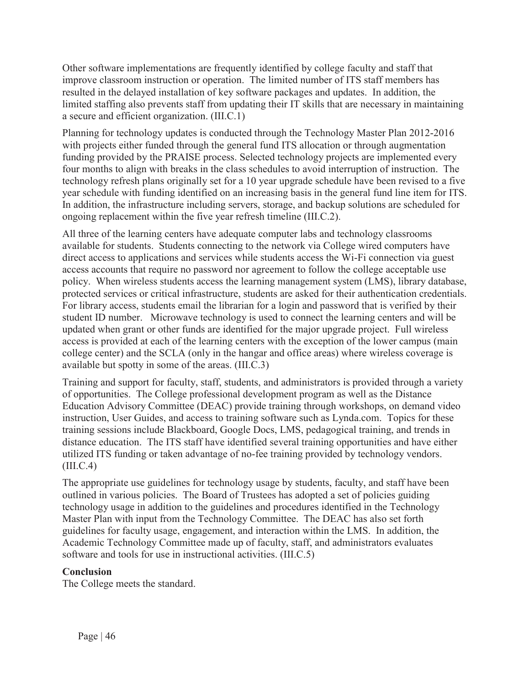Other software implementations are frequently identified by college faculty and staff that improve classroom instruction or operation. The limited number of ITS staff members has resulted in the delayed installation of key software packages and updates. In addition, the limited staffing also prevents staff from updating their IT skills that are necessary in maintaining a secure and efficient organization. (III.C.1)

Planning for technology updates is conducted through the Technology Master Plan 2012-2016 with projects either funded through the general fund ITS allocation or through augmentation funding provided by the PRAISE process. Selected technology projects are implemented every four months to align with breaks in the class schedules to avoid interruption of instruction. The technology refresh plans originally set for a 10 year upgrade schedule have been revised to a five year schedule with funding identified on an increasing basis in the general fund line item for ITS. In addition, the infrastructure including servers, storage, and backup solutions are scheduled for ongoing replacement within the five year refresh timeline (III.C.2).

All three of the learning centers have adequate computer labs and technology classrooms available for students. Students connecting to the network via College wired computers have direct access to applications and services while students access the Wi-Fi connection via guest access accounts that require no password nor agreement to follow the college acceptable use policy. When wireless students access the learning management system (LMS), library database, protected services or critical infrastructure, students are asked for their authentication credentials. For library access, students email the librarian for a login and password that is verified by their student ID number. Microwave technology is used to connect the learning centers and will be updated when grant or other funds are identified for the major upgrade project. Full wireless access is provided at each of the learning centers with the exception of the lower campus (main college center) and the SCLA (only in the hangar and office areas) where wireless coverage is available but spotty in some of the areas. (III.C.3)

Training and support for faculty, staff, students, and administrators is provided through a variety of opportunities. The College professional development program as well as the Distance Education Advisory Committee (DEAC) provide training through workshops, on demand video instruction, User Guides, and access to training software such as Lynda.com. Topics for these training sessions include Blackboard, Google Docs, LMS, pedagogical training, and trends in distance education. The ITS staff have identified several training opportunities and have either utilized ITS funding or taken advantage of no-fee training provided by technology vendors. (III.C.4)

The appropriate use guidelines for technology usage by students, faculty, and staff have been outlined in various policies. The Board of Trustees has adopted a set of policies guiding technology usage in addition to the guidelines and procedures identified in the Technology Master Plan with input from the Technology Committee. The DEAC has also set forth guidelines for faculty usage, engagement, and interaction within the LMS. In addition, the Academic Technology Committee made up of faculty, staff, and administrators evaluates software and tools for use in instructional activities. (III.C.5)

### **Conclusion**

The College meets the standard.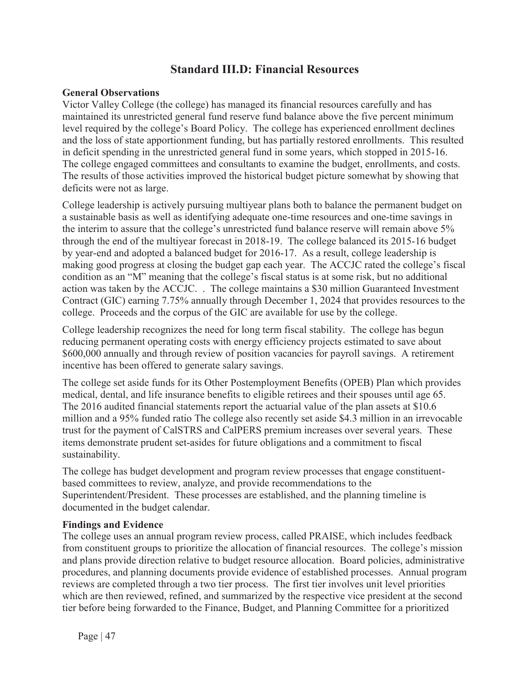## **Standard III.D: Financial Resources**

#### **General Observations**

Victor Valley College (the college) has managed its financial resources carefully and has maintained its unrestricted general fund reserve fund balance above the five percent minimum level required by the college's Board Policy. The college has experienced enrollment declines and the loss of state apportionment funding, but has partially restored enrollments. This resulted in deficit spending in the unrestricted general fund in some years, which stopped in 2015-16. The college engaged committees and consultants to examine the budget, enrollments, and costs. The results of those activities improved the historical budget picture somewhat by showing that deficits were not as large.

College leadership is actively pursuing multiyear plans both to balance the permanent budget on a sustainable basis as well as identifying adequate one-time resources and one-time savings in the interim to assure that the college's unrestricted fund balance reserve will remain above 5% through the end of the multiyear forecast in 2018-19. The college balanced its 2015-16 budget by year-end and adopted a balanced budget for 2016-17. As a result, college leadership is making good progress at closing the budget gap each year. The ACCJC rated the college's fiscal condition as an "M" meaning that the college's fiscal status is at some risk, but no additional action was taken by the ACCJC. . The college maintains a \$30 million Guaranteed Investment Contract (GIC) earning 7.75% annually through December 1, 2024 that provides resources to the college. Proceeds and the corpus of the GIC are available for use by the college.

College leadership recognizes the need for long term fiscal stability. The college has begun reducing permanent operating costs with energy efficiency projects estimated to save about \$600,000 annually and through review of position vacancies for payroll savings. A retirement incentive has been offered to generate salary savings.

The college set aside funds for its Other Postemployment Benefits (OPEB) Plan which provides medical, dental, and life insurance benefits to eligible retirees and their spouses until age 65. The 2016 audited financial statements report the actuarial value of the plan assets at \$10.6 million and a 95% funded ratio The college also recently set aside \$4.3 million in an irrevocable trust for the payment of CalSTRS and CalPERS premium increases over several years. These items demonstrate prudent set-asides for future obligations and a commitment to fiscal sustainability.

The college has budget development and program review processes that engage constituentbased committees to review, analyze, and provide recommendations to the Superintendent/President. These processes are established, and the planning timeline is documented in the budget calendar.

#### **Findings and Evidence**

The college uses an annual program review process, called PRAISE, which includes feedback from constituent groups to prioritize the allocation of financial resources. The college's mission and plans provide direction relative to budget resource allocation. Board policies, administrative procedures, and planning documents provide evidence of established processes. Annual program reviews are completed through a two tier process. The first tier involves unit level priorities which are then reviewed, refined, and summarized by the respective vice president at the second tier before being forwarded to the Finance, Budget, and Planning Committee for a prioritized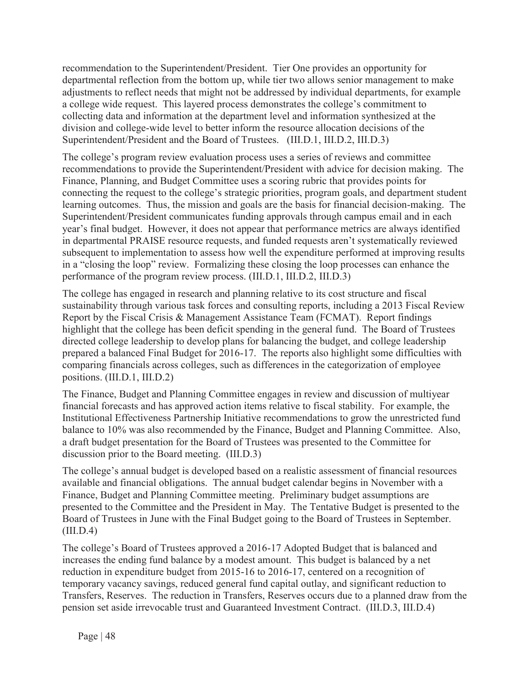recommendation to the Superintendent/President. Tier One provides an opportunity for departmental reflection from the bottom up, while tier two allows senior management to make adjustments to reflect needs that might not be addressed by individual departments, for example a college wide request. This layered process demonstrates the college's commitment to collecting data and information at the department level and information synthesized at the division and college-wide level to better inform the resource allocation decisions of the Superintendent/President and the Board of Trustees. (III.D.1, III.D.2, III.D.3)

The college's program review evaluation process uses a series of reviews and committee recommendations to provide the Superintendent/President with advice for decision making. The Finance, Planning, and Budget Committee uses a scoring rubric that provides points for connecting the request to the college's strategic priorities, program goals, and department student learning outcomes. Thus, the mission and goals are the basis for financial decision-making. The Superintendent/President communicates funding approvals through campus email and in each year's final budget. However, it does not appear that performance metrics are always identified in departmental PRAISE resource requests, and funded requests aren't systematically reviewed subsequent to implementation to assess how well the expenditure performed at improving results in a "closing the loop" review. Formalizing these closing the loop processes can enhance the performance of the program review process. (III.D.1, III.D.2, III.D.3)

The college has engaged in research and planning relative to its cost structure and fiscal sustainability through various task forces and consulting reports, including a 2013 Fiscal Review Report by the Fiscal Crisis & Management Assistance Team (FCMAT). Report findings highlight that the college has been deficit spending in the general fund. The Board of Trustees directed college leadership to develop plans for balancing the budget, and college leadership prepared a balanced Final Budget for 2016-17. The reports also highlight some difficulties with comparing financials across colleges, such as differences in the categorization of employee positions. (III.D.1, III.D.2)

The Finance, Budget and Planning Committee engages in review and discussion of multiyear financial forecasts and has approved action items relative to fiscal stability. For example, the Institutional Effectiveness Partnership Initiative recommendations to grow the unrestricted fund balance to 10% was also recommended by the Finance, Budget and Planning Committee. Also, a draft budget presentation for the Board of Trustees was presented to the Committee for discussion prior to the Board meeting. (III.D.3)

The college's annual budget is developed based on a realistic assessment of financial resources available and financial obligations. The annual budget calendar begins in November with a Finance, Budget and Planning Committee meeting. Preliminary budget assumptions are presented to the Committee and the President in May. The Tentative Budget is presented to the Board of Trustees in June with the Final Budget going to the Board of Trustees in September.  $(III.D.4)$ 

The college's Board of Trustees approved a 2016-17 Adopted Budget that is balanced and increases the ending fund balance by a modest amount. This budget is balanced by a net reduction in expenditure budget from 2015-16 to 2016-17, centered on a recognition of temporary vacancy savings, reduced general fund capital outlay, and significant reduction to Transfers, Reserves. The reduction in Transfers, Reserves occurs due to a planned draw from the pension set aside irrevocable trust and Guaranteed Investment Contract. (III.D.3, III.D.4)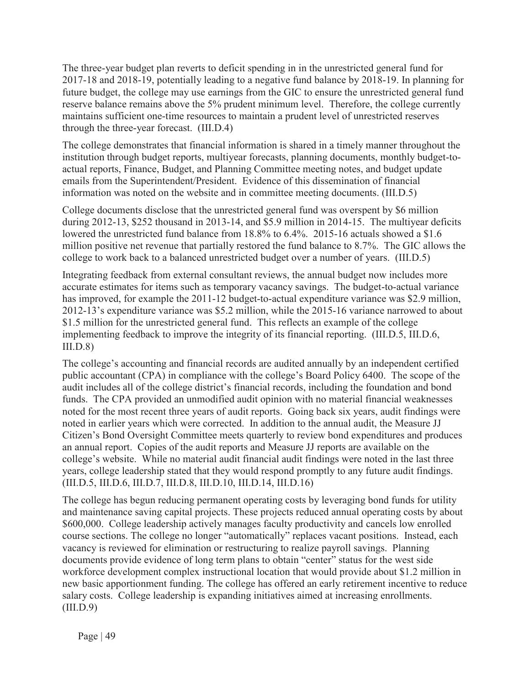The three-year budget plan reverts to deficit spending in in the unrestricted general fund for 2017-18 and 2018-19, potentially leading to a negative fund balance by 2018-19. In planning for future budget, the college may use earnings from the GIC to ensure the unrestricted general fund reserve balance remains above the 5% prudent minimum level. Therefore, the college currently maintains sufficient one-time resources to maintain a prudent level of unrestricted reserves through the three-year forecast. (III.D.4)

The college demonstrates that financial information is shared in a timely manner throughout the institution through budget reports, multiyear forecasts, planning documents, monthly budget-toactual reports, Finance, Budget, and Planning Committee meeting notes, and budget update emails from the Superintendent/President. Evidence of this dissemination of financial information was noted on the website and in committee meeting documents. (III.D.5)

College documents disclose that the unrestricted general fund was overspent by \$6 million during 2012-13, \$252 thousand in 2013-14, and \$5.9 million in 2014-15. The multiyear deficits lowered the unrestricted fund balance from 18.8% to 6.4%. 2015-16 actuals showed a \$1.6 million positive net revenue that partially restored the fund balance to 8.7%. The GIC allows the college to work back to a balanced unrestricted budget over a number of years. (III.D.5)

Integrating feedback from external consultant reviews, the annual budget now includes more accurate estimates for items such as temporary vacancy savings. The budget-to-actual variance has improved, for example the 2011-12 budget-to-actual expenditure variance was \$2.9 million, 2012-13's expenditure variance was \$5.2 million, while the 2015-16 variance narrowed to about \$1.5 million for the unrestricted general fund. This reflects an example of the college implementing feedback to improve the integrity of its financial reporting. (III.D.5, III.D.6,  $III.D.8)$ 

The college's accounting and financial records are audited annually by an independent certified public accountant (CPA) in compliance with the college's Board Policy 6400. The scope of the audit includes all of the college district's financial records, including the foundation and bond funds. The CPA provided an unmodified audit opinion with no material financial weaknesses noted for the most recent three years of audit reports. Going back six years, audit findings were noted in earlier years which were corrected. In addition to the annual audit, the Measure JJ Citizen's Bond Oversight Committee meets quarterly to review bond expenditures and produces an annual report. Copies of the audit reports and Measure JJ reports are available on the college's website. While no material audit financial audit findings were noted in the last three years, college leadership stated that they would respond promptly to any future audit findings. (III.D.5, III.D.6, III.D.7, III.D.8, III.D.10, III.D.14, III.D.16)

The college has begun reducing permanent operating costs by leveraging bond funds for utility and maintenance saving capital projects. These projects reduced annual operating costs by about \$600,000. College leadership actively manages faculty productivity and cancels low enrolled course sections. The college no longer "automatically" replaces vacant positions. Instead, each vacancy is reviewed for elimination or restructuring to realize payroll savings. Planning documents provide evidence of long term plans to obtain "center" status for the west side workforce development complex instructional location that would provide about \$1.2 million in new basic apportionment funding. The college has offered an early retirement incentive to reduce salary costs. College leadership is expanding initiatives aimed at increasing enrollments.  $(III.D.9)$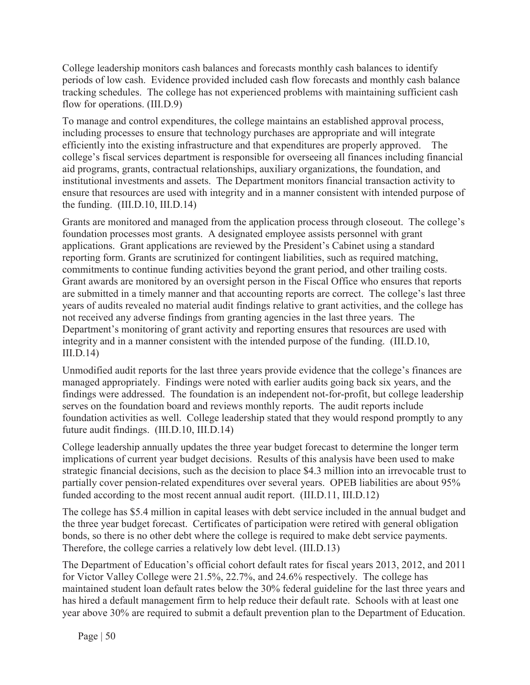College leadership monitors cash balances and forecasts monthly cash balances to identify periods of low cash. Evidence provided included cash flow forecasts and monthly cash balance tracking schedules. The college has not experienced problems with maintaining sufficient cash flow for operations. (III.D.9)

To manage and control expenditures, the college maintains an established approval process, including processes to ensure that technology purchases are appropriate and will integrate efficiently into the existing infrastructure and that expenditures are properly approved. The college's fiscal services department is responsible for overseeing all finances including financial aid programs, grants, contractual relationships, auxiliary organizations, the foundation, and institutional investments and assets. The Department monitors financial transaction activity to ensure that resources are used with integrity and in a manner consistent with intended purpose of the funding. (III.D.10, III.D.14)

Grants are monitored and managed from the application process through closeout. The college's foundation processes most grants. A designated employee assists personnel with grant applications. Grant applications are reviewed by the President's Cabinet using a standard reporting form. Grants are scrutinized for contingent liabilities, such as required matching, commitments to continue funding activities beyond the grant period, and other trailing costs. Grant awards are monitored by an oversight person in the Fiscal Office who ensures that reports are submitted in a timely manner and that accounting reports are correct. The college's last three years of audits revealed no material audit findings relative to grant activities, and the college has not received any adverse findings from granting agencies in the last three years. The Department's monitoring of grant activity and reporting ensures that resources are used with integrity and in a manner consistent with the intended purpose of the funding. (III.D.10, III.D.14)

Unmodified audit reports for the last three years provide evidence that the college's finances are managed appropriately. Findings were noted with earlier audits going back six years, and the findings were addressed. The foundation is an independent not-for-profit, but college leadership serves on the foundation board and reviews monthly reports. The audit reports include foundation activities as well. College leadership stated that they would respond promptly to any future audit findings. (III.D.10, III.D.14)

College leadership annually updates the three year budget forecast to determine the longer term implications of current year budget decisions. Results of this analysis have been used to make strategic financial decisions, such as the decision to place \$4.3 million into an irrevocable trust to partially cover pension-related expenditures over several years. OPEB liabilities are about 95% funded according to the most recent annual audit report. (III.D.11, III.D.12)

The college has \$5.4 million in capital leases with debt service included in the annual budget and the three year budget forecast. Certificates of participation were retired with general obligation bonds, so there is no other debt where the college is required to make debt service payments. Therefore, the college carries a relatively low debt level. (III.D.13)

The Department of Education's official cohort default rates for fiscal years 2013, 2012, and 2011 for Victor Valley College were 21.5%, 22.7%, and 24.6% respectively. The college has maintained student loan default rates below the 30% federal guideline for the last three years and has hired a default management firm to help reduce their default rate. Schools with at least one year above 30% are required to submit a default prevention plan to the Department of Education.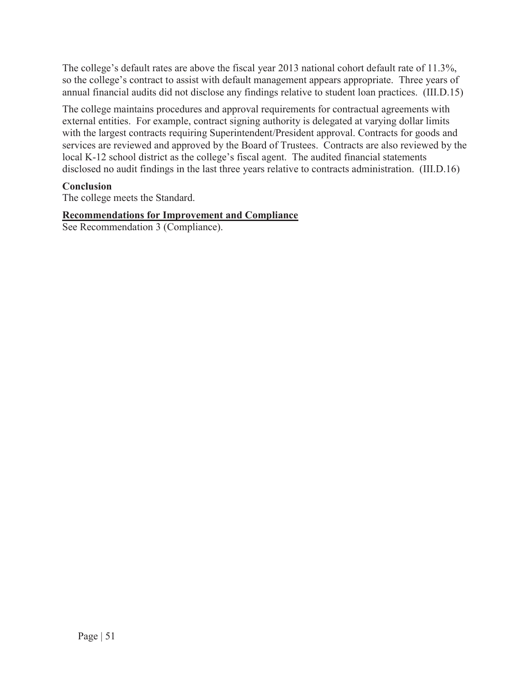The college's default rates are above the fiscal year 2013 national cohort default rate of 11.3%, so the college's contract to assist with default management appears appropriate. Three years of annual financial audits did not disclose any findings relative to student loan practices. (III.D.15)

The college maintains procedures and approval requirements for contractual agreements with external entities. For example, contract signing authority is delegated at varying dollar limits with the largest contracts requiring Superintendent/President approval. Contracts for goods and services are reviewed and approved by the Board of Trustees. Contracts are also reviewed by the local K-12 school district as the college's fiscal agent. The audited financial statements disclosed no audit findings in the last three years relative to contracts administration. (III.D.16)

### **Conclusion**

The college meets the Standard.

#### **Recommendations for Improvement and Compliance**

See Recommendation 3 (Compliance).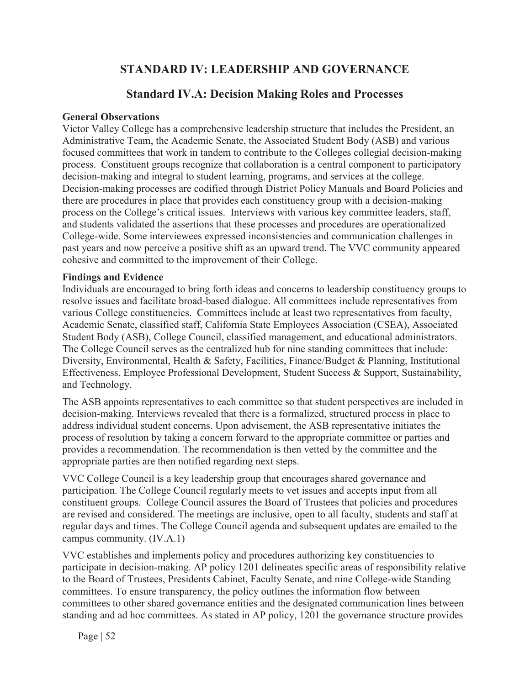# **STANDARD IV: LEADERSHIP AND GOVERNANCE**

# **Standard IV.A: Decision Making Roles and Processes**

#### **General Observations**

Victor Valley College has a comprehensive leadership structure that includes the President, an Administrative Team, the Academic Senate, the Associated Student Body (ASB) and various focused committees that work in tandem to contribute to the Colleges collegial decision-making process. Constituent groups recognize that collaboration is a central component to participatory decision-making and integral to student learning, programs, and services at the college. Decision-making processes are codified through District Policy Manuals and Board Policies and there are procedures in place that provides each constituency group with a decision-making process on the College's critical issues. Interviews with various key committee leaders, staff, and students validated the assertions that these processes and procedures are operationalized College-wide. Some interviewees expressed inconsistencies and communication challenges in past years and now perceive a positive shift as an upward trend. The VVC community appeared cohesive and committed to the improvement of their College.

#### **Findings and Evidence**

Individuals are encouraged to bring forth ideas and concerns to leadership constituency groups to resolve issues and facilitate broad-based dialogue. All committees include representatives from various College constituencies. Committees include at least two representatives from faculty, Academic Senate, classified staff, California State Employees Association (CSEA), Associated Student Body (ASB), College Council, classified management, and educational administrators. The College Council serves as the centralized hub for nine standing committees that include: Diversity, Environmental, Health & Safety, Facilities, Finance/Budget & Planning, Institutional Effectiveness, Employee Professional Development, Student Success & Support, Sustainability, and Technology.

The ASB appoints representatives to each committee so that student perspectives are included in decision-making. Interviews revealed that there is a formalized, structured process in place to address individual student concerns. Upon advisement, the ASB representative initiates the process of resolution by taking a concern forward to the appropriate committee or parties and provides a recommendation. The recommendation is then vetted by the committee and the appropriate parties are then notified regarding next steps.

VVC College Council is a key leadership group that encourages shared governance and participation. The College Council regularly meets to vet issues and accepts input from all constituent groups. College Council assures the Board of Trustees that policies and procedures are revised and considered. The meetings are inclusive, open to all faculty, students and staff at regular days and times. The College Council agenda and subsequent updates are emailed to the campus community. (IV.A.1)

VVC establishes and implements policy and procedures authorizing key constituencies to participate in decision-making. AP policy 1201 delineates specific areas of responsibility relative to the Board of Trustees, Presidents Cabinet, Faculty Senate, and nine College-wide Standing committees. To ensure transparency, the policy outlines the information flow between committees to other shared governance entities and the designated communication lines between standing and ad hoc committees. As stated in AP policy, 1201 the governance structure provides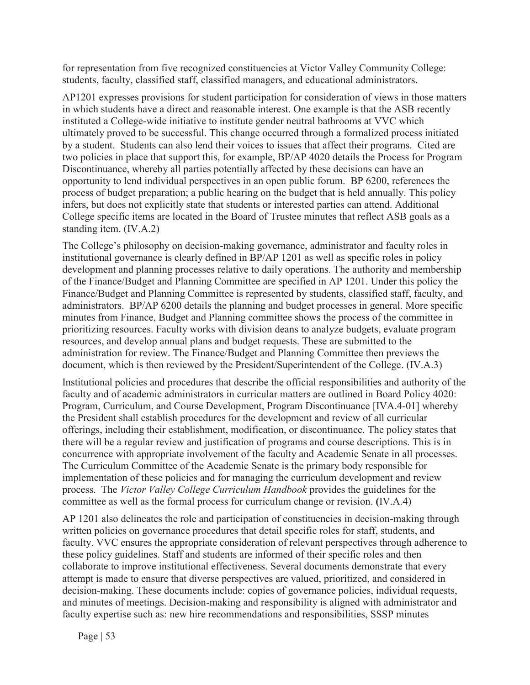for representation from five recognized constituencies at Victor Valley Community College: students, faculty, classified staff, classified managers, and educational administrators.

AP1201 expresses provisions for student participation for consideration of views in those matters in which students have a direct and reasonable interest. One example is that the ASB recently instituted a College-wide initiative to institute gender neutral bathrooms at VVC which ultimately proved to be successful. This change occurred through a formalized process initiated by a student. Students can also lend their voices to issues that affect their programs. Cited are two policies in place that support this, for example, BP/AP 4020 details the Process for Program Discontinuance, whereby all parties potentially affected by these decisions can have an opportunity to lend individual perspectives in an open public forum. BP 6200, references the process of budget preparation; a public hearing on the budget that is held annually. This policy infers, but does not explicitly state that students or interested parties can attend. Additional College specific items are located in the Board of Trustee minutes that reflect ASB goals as a standing item. (IV.A.2)

The College's philosophy on decision-making governance, administrator and faculty roles in institutional governance is clearly defined in BP/AP 1201 as well as specific roles in policy development and planning processes relative to daily operations. The authority and membership of the Finance/Budget and Planning Committee are specified in AP 1201. Under this policy the Finance/Budget and Planning Committee is represented by students, classified staff, faculty, and administrators. BP/AP 6200 details the planning and budget processes in general. More specific minutes from Finance, Budget and Planning committee shows the process of the committee in prioritizing resources. Faculty works with division deans to analyze budgets, evaluate program resources, and develop annual plans and budget requests. These are submitted to the administration for review. The Finance/Budget and Planning Committee then previews the document, which is then reviewed by the President/Superintendent of the College. (IV.A.3)

Institutional policies and procedures that describe the official responsibilities and authority of the faculty and of academic administrators in curricular matters are outlined in Board Policy 4020: Program, Curriculum, and Course Development, Program Discontinuance [IVA.4-01] whereby the President shall establish procedures for the development and review of all curricular offerings, including their establishment, modification, or discontinuance. The policy states that there will be a regular review and justification of programs and course descriptions. This is in concurrence with appropriate involvement of the faculty and Academic Senate in all processes. The Curriculum Committee of the Academic Senate is the primary body responsible for implementation of these policies and for managing the curriculum development and review process. The *Victor Valley College Curriculum Handbook* provides the guidelines for the committee as well as the formal process for curriculum change or revision. **(**IV.A.4)

AP 1201 also delineates the role and participation of constituencies in decision-making through written policies on governance procedures that detail specific roles for staff, students, and faculty. VVC ensures the appropriate consideration of relevant perspectives through adherence to these policy guidelines. Staff and students are informed of their specific roles and then collaborate to improve institutional effectiveness. Several documents demonstrate that every attempt is made to ensure that diverse perspectives are valued, prioritized, and considered in decision-making. These documents include: copies of governance policies, individual requests, and minutes of meetings. Decision-making and responsibility is aligned with administrator and faculty expertise such as: new hire recommendations and responsibilities, SSSP minutes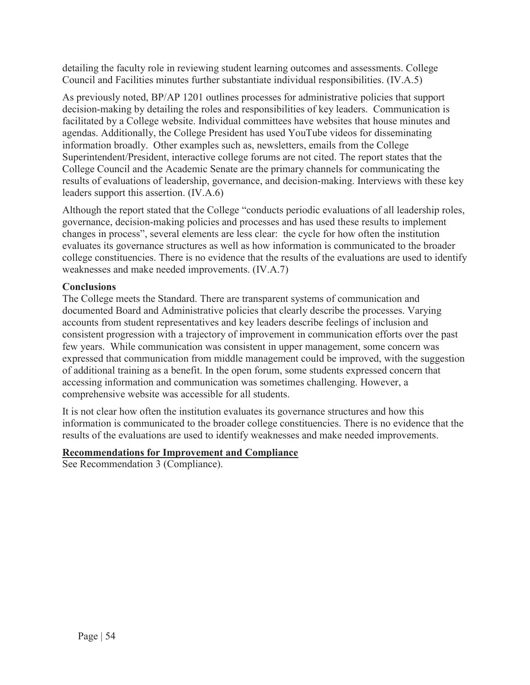detailing the faculty role in reviewing student learning outcomes and assessments. College Council and Facilities minutes further substantiate individual responsibilities. (IV.A.5)

As previously noted, BP/AP 1201 outlines processes for administrative policies that support decision-making by detailing the roles and responsibilities of key leaders. Communication is facilitated by a College website. Individual committees have websites that house minutes and agendas. Additionally, the College President has used YouTube videos for disseminating information broadly. Other examples such as, newsletters, emails from the College Superintendent/President, interactive college forums are not cited. The report states that the College Council and the Academic Senate are the primary channels for communicating the results of evaluations of leadership, governance, and decision-making. Interviews with these key leaders support this assertion. (IV.A.6)

Although the report stated that the College "conducts periodic evaluations of all leadership roles, governance, decision-making policies and processes and has used these results to implement changes in process", several elements are less clear: the cycle for how often the institution evaluates its governance structures as well as how information is communicated to the broader college constituencies. There is no evidence that the results of the evaluations are used to identify weaknesses and make needed improvements. (IV.A.7)

## **Conclusions**

The College meets the Standard. There are transparent systems of communication and documented Board and Administrative policies that clearly describe the processes. Varying accounts from student representatives and key leaders describe feelings of inclusion and consistent progression with a trajectory of improvement in communication efforts over the past few years. While communication was consistent in upper management, some concern was expressed that communication from middle management could be improved, with the suggestion of additional training as a benefit. In the open forum, some students expressed concern that accessing information and communication was sometimes challenging. However, a comprehensive website was accessible for all students.

It is not clear how often the institution evaluates its governance structures and how this information is communicated to the broader college constituencies. There is no evidence that the results of the evaluations are used to identify weaknesses and make needed improvements.

## **Recommendations for Improvement and Compliance**

See Recommendation 3 (Compliance).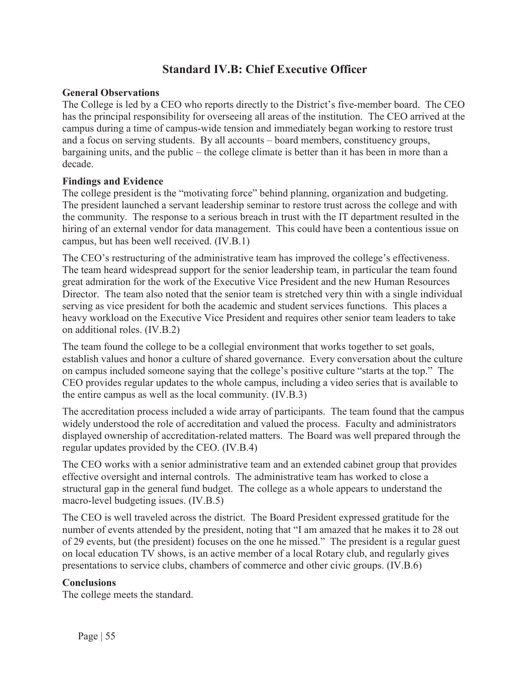# **Standard IV.B: Chief Executive Officer**

#### **General Observations**

The College is led by a CEO who reports directly to the District's five-member board. The CEO has the principal responsibility for overseeing all areas of the institution. The CEO arrived at the campus during a time of campus-wide tension and immediately began working to restore trust and a focus on serving students. By all accounts – board members, constituency groups, bargaining units, and the public – the college climate is better than it has been in more than a decade.

#### **Findings and Evidence**

The college president is the "motivating force" behind planning, organization and budgeting. The president launched a servant leadership seminar to restore trust across the college and with the community. The response to a serious breach in trust with the IT department resulted in the hiring of an external vendor for data management. This could have been a contentious issue on campus, but has been well received. (IV.B.1)

The CEO's restructuring of the administrative team has improved the college's effectiveness. The team heard widespread support for the senior leadership team, in particular the team found great admiration for the work of the Executive Vice President and the new Human Resources Director. The team also noted that the senior team is stretched very thin with a single individual serving as vice president for both the academic and student services functions. This places a heavy workload on the Executive Vice President and requires other senior team leaders to take on additional roles. (IV.B.2)

The team found the college to be a collegial environment that works together to set goals, establish values and honor a culture of shared governance. Every conversation about the culture on campus included someone saying that the college's positive culture "starts at the top." The CEO provides regular updates to the whole campus, including a video series that is available to the entire campus as well as the local community. (IV.B.3)

The accreditation process included a wide array of participants. The team found that the campus widely understood the role of accreditation and valued the process. Faculty and administrators displayed ownership of accreditation-related matters. The Board was well prepared through the regular updates provided by the CEO. (IV.B.4)

The CEO works with a senior administrative team and an extended cabinet group that provides effective oversight and internal controls. The administrative team has worked to close a structural gap in the general fund budget. The college as a whole appears to understand the macro-level budgeting issues. (IV.B.5)

The CEO is well traveled across the district. The Board President expressed gratitude for the number of events attended by the president, noting that "I am amazed that he makes it to 28 out of 29 events, but (the president) focuses on the one he missed." The president is a regular guest on local education TV shows, is an active member of a local Rotary club, and regularly gives presentations to service clubs, chambers of commerce and other civic groups. (IV.B.6)

### **Conclusions**

The college meets the standard.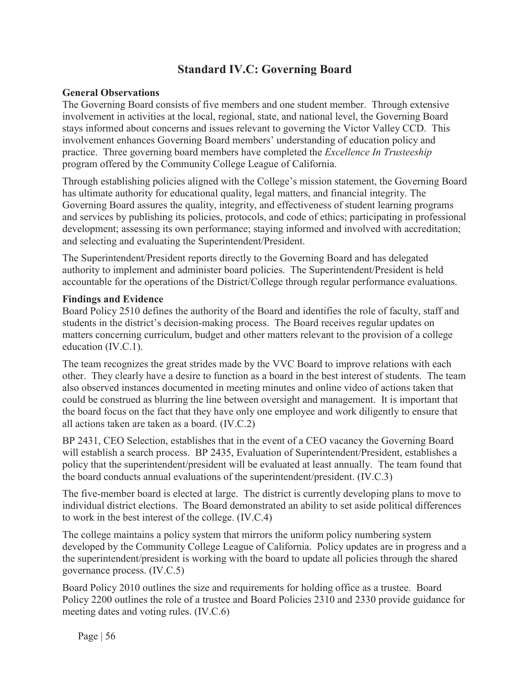# **Standard IV.C: Governing Board**

#### **General Observations**

The Governing Board consists of five members and one student member. Through extensive involvement in activities at the local, regional, state, and national level, the Governing Board stays informed about concerns and issues relevant to governing the Victor Valley CCD. This involvement enhances Governing Board members' understanding of education policy and practice. Three governing board members have completed the *Excellence In Trusteeship* program offered by the Community College League of California.

Through establishing policies aligned with the College's mission statement, the Governing Board has ultimate authority for educational quality, legal matters, and financial integrity. The Governing Board assures the quality, integrity, and effectiveness of student learning programs and services by publishing its policies, protocols, and code of ethics; participating in professional development; assessing its own performance; staying informed and involved with accreditation; and selecting and evaluating the Superintendent/President.

The Superintendent/President reports directly to the Governing Board and has delegated authority to implement and administer board policies. The Superintendent/President is held accountable for the operations of the District/College through regular performance evaluations.

#### **Findings and Evidence**

Board Policy 2510 defines the authority of the Board and identifies the role of faculty, staff and students in the district's decision-making process. The Board receives regular updates on matters concerning curriculum, budget and other matters relevant to the provision of a college education (IV.C.1).

The team recognizes the great strides made by the VVC Board to improve relations with each other. They clearly have a desire to function as a board in the best interest of students. The team also observed instances documented in meeting minutes and online video of actions taken that could be construed as blurring the line between oversight and management. It is important that the board focus on the fact that they have only one employee and work diligently to ensure that all actions taken are taken as a board. (IV.C.2)

BP 2431, CEO Selection, establishes that in the event of a CEO vacancy the Governing Board will establish a search process. BP 2435, Evaluation of Superintendent/President, establishes a policy that the superintendent/president will be evaluated at least annually. The team found that the board conducts annual evaluations of the superintendent/president. (IV.C.3)

The five-member board is elected at large. The district is currently developing plans to move to individual district elections. The Board demonstrated an ability to set aside political differences to work in the best interest of the college. (IV.C.4)

The college maintains a policy system that mirrors the uniform policy numbering system developed by the Community College League of California. Policy updates are in progress and a the superintendent/president is working with the board to update all policies through the shared governance process. (IV.C.5)

Board Policy 2010 outlines the size and requirements for holding office as a trustee. Board Policy 2200 outlines the role of a trustee and Board Policies 2310 and 2330 provide guidance for meeting dates and voting rules. (IV.C.6)

Page | 56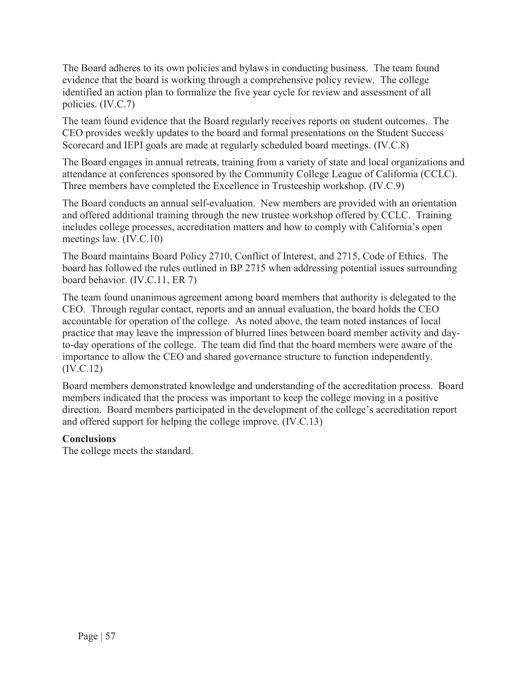The Board adheres to its own policies and bylaws in conducting business. The team found evidence that the board is working through a comprehensive policy review. The college identified an action plan to formalize the five year cycle for review and assessment of all policies. (IV.C.7)

The team found evidence that the Board regularly receives reports on student outcomes. The CEO provides weekly updates to the board and formal presentations on the Student Success Scorecard and IEPI goals are made at regularly scheduled board meetings. (IV.C.8)

The Board engages in annual retreats, training from a variety of state and local organizations and attendance at conferences sponsored by the Community College League of California (CCLC). Three members have completed the Excellence in Trusteeship workshop. (IV.C.9)

The Board conducts an annual self-evaluation. New members are provided with an orientation and offered additional training through the new trustee workshop offered by CCLC. Training includes college processes, accreditation matters and how to comply with California's open meetings law. (IV.C.10)

The Board maintains Board Policy 2710, Conflict of Interest, and 2715, Code of Ethics. The board has followed the rules outlined in BP 2715 when addressing potential issues surrounding board behavior. (IV.C.11, ER 7)

The team found unanimous agreement among board members that authority is delegated to the CEO. Through regular contact, reports and an annual evaluation, the board holds the CEO accountable for operation of the college. As noted above, the team noted instances of local practice that may leave the impression of blurred lines between board member activity and dayto-day operations of the college. The team did find that the board members were aware of the importance to allow the CEO and shared governance structure to function independently. (IV.C.12)

Board members demonstrated knowledge and understanding of the accreditation process. Board members indicated that the process was important to keep the college moving in a positive direction. Board members participated in the development of the college's accreditation report and offered support for helping the college improve. (IV.C.13)

### **Conclusions**

The college meets the standard.